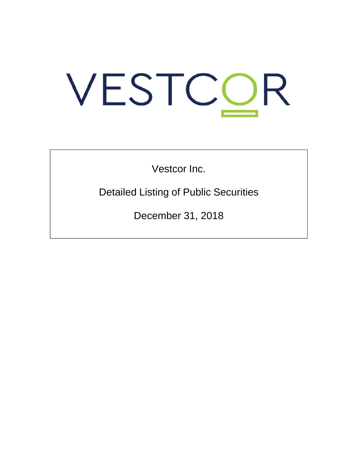# VESTCOR

Vestcor Inc.

Detailed Listing of Public Securities

December 31, 2018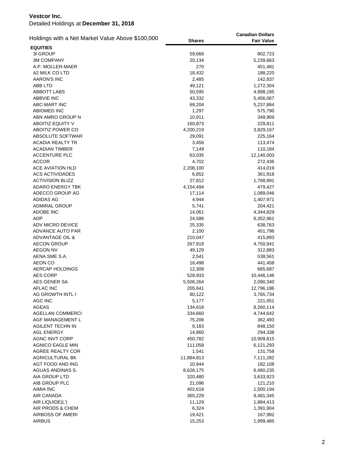| Holdings with a Net Market Value Above \$100,000  | <b>Shares</b>       | <b>Canadian Dollars</b><br><b>Fair Value</b> |
|---------------------------------------------------|---------------------|----------------------------------------------|
| <b>EQUITIES</b>                                   |                     |                                              |
| 3I GROUP                                          | 59,668              | 802,723                                      |
| <b>3M COMPANY</b>                                 | 20,134              | 5,239,663                                    |
| A.P. MOLLER-MAER                                  | 270                 | 451,481                                      |
| A2 MILK CO LTD                                    | 18,432              | 188,220                                      |
| <b>AARON'S INC</b>                                | 2,485               | 142,837                                      |
| ABB LTD                                           | 49,121              | 1,272,304                                    |
| <b>ABBOTT LABS</b>                                | 50,595              | 4,998,195                                    |
| <b>ABBVIE INC</b>                                 | 43,332              | 5,456,067                                    |
| ABC-MART INC                                      | 69,204              | 5,237,884                                    |
| <b>ABIOMED INC</b>                                | 1,297               | 575,790                                      |
| ABN AMRO GROUP N                                  | 10,911              | 349,909                                      |
| ABOITIZ EQUITY V                                  | 160,873             | 229,811                                      |
| ABOITIZ POWER CO                                  | 4,200,219           | 3,829,167                                    |
| ABSOLUTE SOFTWAR                                  | 29,091              | 225,164                                      |
| <b>ACADIA REALTY TR</b>                           | 3,456               | 113,474                                      |
| <b>ACADIAN TIMBER</b>                             | 7,149               | 110,184                                      |
| <b>ACCENTURE PLC</b>                              | 63,035              | 12,140,003                                   |
| <b>ACCOR</b><br><b>ACE AVIATION HLD</b>           | 4,702               | 272,436                                      |
|                                                   | 2,208,100<br>6,852  | 414,019                                      |
| <b>ACS ACTIVIDADES</b><br><b>ACTIVISION BLIZZ</b> |                     | 361,918                                      |
| <b>ADARO ENERGY TBK</b>                           | 27,812              | 1,768,991                                    |
| ADECCO GROUP AG                                   | 4,154,494<br>17,114 | 479,427<br>1,089,046                         |
| ADIDAS AG                                         | 4,944               | 1,407,971                                    |
| <b>ADMIRAL GROUP</b>                              | 5,741               | 204,421                                      |
| <b>ADOBE INC</b>                                  | 14,061              | 4,344,829                                    |
| ADP                                               | 24,586              | 6,352,961                                    |
| ADV MICRO DEVICE                                  | 25,335              | 638,763                                      |
| ADVANCE AUTO PAR                                  | 2,100               | 451,796                                      |
| <b>ADVANTAGE OIL &amp;</b>                        | 210,047             | 415,893                                      |
| <b>AECON GROUP</b>                                | 267,919             | 4,750,941                                    |
| <b>AEGON NV</b>                                   | 49,129              | 312,883                                      |
| AENA SME S.A.                                     | 2,541               | 538,561                                      |
| AEON CO                                           | 16,498              | 441,458                                      |
| <b>AERCAP HOLDINGS</b>                            | 12,308              | 665,687                                      |
| <b>AES CORP</b>                                   | 528,933             | 10,446,146                                   |
| AES GENER SA                                      | 5,506,264           | 2,090,340                                    |
| <b>AFLAC INC</b>                                  | 205,641             | 12,796,186                                   |
| AG GROWTH INTL I                                  | 80,122              | 3,765,734                                    |
| AGC INC                                           | 5,177               | 221,051                                      |
| <b>AGEAS</b>                                      | 134,618             | 8,260,114                                    |
| <b>AGELLAN COMMERCI</b>                           | 334,660             | 4,744,642                                    |
| AGF MANAGEMENT L                                  | 75,206              | 362,493                                      |
| <b>AGILENT TECHN IN</b>                           | 9,183               | 848,150                                      |
| <b>AGL ENERGY</b>                                 | 14,860              | 294,338                                      |
| <b>AGNC INVT CORP</b>                             | 450,782             | 10,909,815                                   |
| <b>AGNICO EAGLE MIN</b>                           | 111,058             | 6,121,293                                    |
| AGREE REALTY COR                                  | 1,541               | 131,758                                      |
| AGRICULTURAL BK                                   | 11,884,813          | 7,111,282                                    |
| AGT FOOD AND ING                                  | 10,944              | 182,108                                      |
| AGUAS ANDINAS S.                                  | 8,626,175           | 6,480,235                                    |
| AIA GROUP LTD                                     | 320,480             | 3,633,923                                    |
| AIB GROUP PLC                                     | 21,096              | 121,210                                      |
| AIMIA INC                                         | 402,618             | 1,500,194                                    |
| AIR CANADA                                        | 365,229             | 9,481,345                                    |
| AIR LIQUIDE(L')                                   | 11,129              | 1,884,413                                    |
| AIR PRODS & CHEM                                  | 6,324               | 1,391,904                                    |
| AIRBOSS OF AMERI                                  | 19,421              | 167,992                                      |
| <b>AIRBUS</b>                                     | 15,253              | 1,999,485                                    |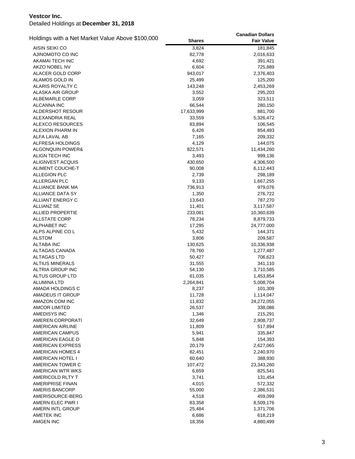|                                                  |               | <b>Canadian Dollars</b> |
|--------------------------------------------------|---------------|-------------------------|
| Holdings with a Net Market Value Above \$100,000 | <b>Shares</b> | <b>Fair Value</b>       |
| AISIN SEIKI CO                                   | 3,824         | 181,845                 |
| AJINOMOTO CO INC                                 | 82,778        | 2,016,633               |
| AKAMAI TECH INC                                  | 4,692         | 391,421                 |
| AKZO NOBEL NV                                    | 6,604         | 725,889                 |
| ALACER GOLD CORP                                 | 943,017       | 2,376,403               |
| ALAMOS GOLD IN                                   | 25,499        | 125,200                 |
| ALARIS ROYALTY C                                 | 143,248       | 2,453,269               |
| ALASKA AIR GROUP                                 | 3,552         | 295,203                 |
| ALBEMARLE CORP                                   | 3,059         | 323,511                 |
| <b>ALCANNA INC</b>                               | 66,544        | 280,150                 |
| <b>ALDERSHOT RESOUR</b>                          | 17,633,999    | 881,700                 |
| ALEXANDRIA REAL                                  | 33,559        | 5,326,472               |
| ALEXCO RESOURCES                                 | 83,894        | 106,545                 |
| <b>ALEXION PHARM IN</b>                          | 6,426         | 854,493                 |
| ALFA LAVAL AB                                    | 7,165         | 209,332                 |
| ALFRESA HOLDINGS                                 | 4,129         | 144,075                 |
| ALGONQUIN POWER&                                 | 822,571       | 11,434,260              |
| ALIGN TECH INC                                   | 3,493         | 999,136                 |
| ALIGNVEST ACQUIS                                 | 430,650       | 4,306,500               |
| ALIMENT COUCHE-T                                 | 90,008        | 6,112,443               |
| <b>ALLEGION PLC</b>                              | 2,739         | 298,189                 |
| <b>ALLERGAN PLC</b>                              | 9,133         | 1,667,255               |
| <b>ALLIANCE BANK MA</b>                          | 736,913       | 979,076                 |
| ALLIANCE DATA SY                                 | 1,350         | 276,722                 |
| ALLIANT ENERGY C                                 | 13,643        | 787,270                 |
| ALLIANZ SE                                       | 11,401        | 3,117,587               |
| <b>ALLIED PROPERTIE</b>                          | 233,081       | 10,360,639              |
| <b>ALLSTATE CORP</b>                             | 78,234        | 8,879,733               |
| <b>ALPHABET INC</b>                              | 17,295        | 24,777,000              |
| ALPS ALPINE CO L                                 | 5,432         | 144,371                 |
| <b>ALSTOM</b>                                    | 3,806         | 209,587                 |
| <b>ALTABA INC</b>                                | 130,625       | 10,336,938              |
| ALTAGAS CANADA                                   | 78,760        | 1,277,487               |
| <b>ALTAGAS LTD</b>                               | 50,427        | 706,623                 |
| <b>ALTIUS MINERALS</b>                           | 31,555        | 341,110                 |
| <b>ALTRIA GROUP INC</b>                          | 54,130        | 3,710,585               |
| ALTUS GROUP LTD                                  | 61,035        | 1,453,854               |
| <b>ALUMINA LTD</b>                               | 2,264,841     | 5,008,704               |
| AMADA HOLDINGS C                                 | 8,237         | 101,309                 |
| AMADEUS IT GROUP                                 | 11,728        | 1,114,047               |
| AMAZON COM INC                                   | 11,832        | 24,272,055              |
| <b>AMCOR LIMITED</b>                             | 26,537        | 338,086                 |
| AMEDISYS INC                                     | 1,346         | 215,291                 |
| AMEREN CORPORATI                                 | 32,649        | 2,908,737               |
| <b>AMERICAN AIRLINE</b>                          | 11,809        | 517,894                 |
| <b>AMERICAN CAMPUS</b>                           | 5,941         | 335,847                 |
| AMERICAN EAGLE O                                 | 5,848         | 154,393                 |
| AMERICAN EXPRESS                                 | 20,179        | 2,627,065               |
| <b>AMERICAN HOMES 4</b>                          | 82,451        | 2,240,970               |
| AMERICAN HOTEL I                                 | 60,640        | 388,930                 |
| AMERICAN TOWER C                                 | 107,472       | 23,343,260              |
| AMERICAN WTR WKS                                 | 6,659         | 825,541                 |
| AMERICOLD RLTY T                                 | 3,741         | 131,454                 |
| <b>AMERIPRISE FINAN</b>                          | 4,015         | 572,332                 |
| AMERIS BANCORP                                   | 55,000        | 2,386,531               |
| AMERISOURCE-BERG                                 | 4,518         | 459,099                 |
| AMERN ELEC PWR I                                 | 83,358        | 8,509,176               |
| AMERN INTL GROUP                                 | 25,484        | 1,371,706               |
| AMETEK INC                                       | 6,686         | 618,219                 |
| AMGEN INC                                        | 18,356        | 4,880,499               |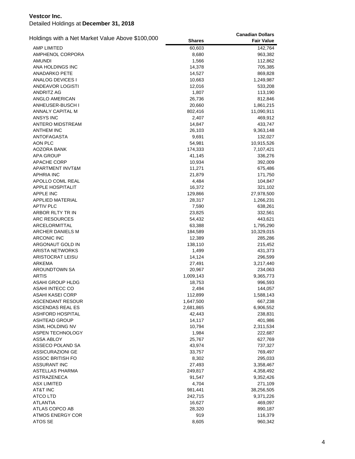| Holdings with a Net Market Value Above \$100,000 |               | <b>Canadian Dollars</b> |
|--------------------------------------------------|---------------|-------------------------|
|                                                  | <b>Shares</b> | <b>Fair Value</b>       |
| <b>AMP LIMITED</b>                               | 60,603        | 142,764                 |
| AMPHENOL CORPORA                                 | 8,680         | 963,382                 |
| <b>AMUNDI</b>                                    | 1,566         | 112,862                 |
| ANA HOLDINGS INC                                 | 14,378        | 705,385                 |
| <b>ANADARKO PETE</b>                             | 14,527        | 869,828                 |
| ANALOG DEVICES I                                 | 10,663        | 1,249,987               |
| ANDEAVOR LOGISTI                                 | 12,016        | 533,208                 |
| ANDRITZ AG                                       | 1,807         | 113,190                 |
| ANGLO AMERICAN                                   | 26,736        | 812,846                 |
| ANHEUSER-BUSCH I                                 | 20,660        | 1,861,215               |
| <b>ANNALY CAPITAL M</b>                          | 802,416       | 11,090,911              |
| ANSYS INC                                        | 2,407         | 469,912                 |
| <b>ANTERO MIDSTREAM</b>                          | 14,847        | 433,747                 |
| <b>ANTHEM INC</b>                                | 26,103        | 9,363,148               |
| <b>ANTOFAGASTA</b>                               | 9,691         | 132,027                 |
| AON PLC                                          | 54,981        | 10,915,526              |
| AOZORA BANK                                      | 174,333       | 7,107,421               |
| APA GROUP                                        | 41,145        | 336,276                 |
| <b>APACHE CORP</b>                               | 10,934        | 392,009                 |
| APARTMENT INVT&M                                 | 11,271        | 675,486                 |
| <b>APHRIA INC</b>                                | 21,879        | 171,750                 |
| APOLLO COML REAL                                 | 4,484         | 104,847                 |
| <b>APPLE HOSPITALIT</b>                          | 16,372        | 321,102                 |
| <b>APPLE INC</b>                                 | 129,866       | 27,978,500              |
| <b>APPLIED MATERIAL</b>                          | 28,317        | 1,266,231               |
| <b>APTIV PLC</b>                                 | 7,590         | 638,261                 |
| ARBOR RLTY TR IN                                 | 23,825        | 332,561                 |
| ARC RESOURCES                                    | 54,432        | 443,621                 |
| ARCELORMITTAL                                    | 63,388        | 1,795,290               |
| ARCHER DANIELS M                                 | 184,589       | 10,329,015              |
| <b>ARCONIC INC</b>                               | 12,389        | 285,286                 |
| ARGONAUT GOLD IN                                 | 138,110       | 215,452                 |
| <b>ARISTA NETWORKS</b>                           | 1,499         | 431,373                 |
| ARISTOCRAT LEISU                                 | 14,124        | 296,599                 |
| ARKEMA                                           | 27,491        | 3,217,440               |
| AROUNDTOWN SA                                    | 20,967        | 234,063                 |
| <b>ARTIS</b>                                     | 1,009,143     | 9,365,773               |
| ASAHI GROUP HLDG                                 | 18,753        | 996,593                 |
| ASAHI INTECC CO                                  | 2,494         | 144,057                 |
| ASAHI KASEI CORP                                 | 112,899       | 1,588,143               |
| ASCENDANT RESOUR                                 | 1,647,500     | 667,238                 |
| ASCENDAS REAL ES                                 | 2,681,865     | 6,906,552               |
| ASHFORD HOSPITAL                                 | 42,443        | 238,831                 |
| ASHTEAD GROUP                                    | 14,117        | 401,986                 |
| ASML HOLDING NV                                  | 10,794        | 2,311,534               |
| ASPEN TECHNOLOGY                                 | 1,984         | 222,687                 |
| <b>ASSA ABLOY</b>                                | 25,767        |                         |
| ASSECO POLAND SA                                 | 43,974        | 627,769<br>737,327      |
| <b>ASSICURAZIONI GE</b>                          | 33,757        | 769,497                 |
| ASSOC BRITISH FO                                 | 8,302         | 295,033                 |
| <b>ASSURANT INC</b>                              |               | 3,358,467               |
|                                                  | 27,493        |                         |
| ASTELLAS PHARMA                                  | 249,817       | 4,358,492               |
| <b>ASTRAZENECA</b>                               | 91,547        | 9,352,426               |
| <b>ASX LIMITED</b>                               | 4,704         | 271,109                 |
| AT&T INC                                         | 981,441       | 38,256,505              |
| <b>ATCO LTD</b>                                  | 242,715       | 9,371,226               |
| <b>ATLANTIA</b>                                  | 16,627        | 469,097                 |
| ATLAS COPCO AB                                   | 28,320        | 890,187                 |
| <b>ATMOS ENERGY COR</b>                          | 919           | 116,379                 |
| ATOS SE                                          | 8,605         | 960,342                 |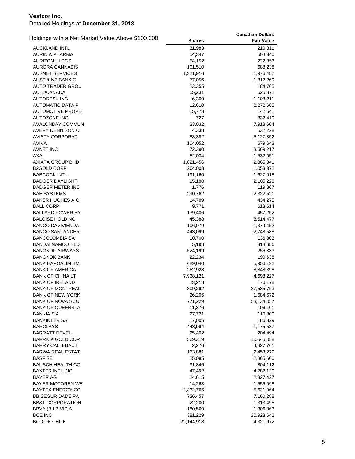|                                                  |               | <b>Canadian Dollars</b> |
|--------------------------------------------------|---------------|-------------------------|
| Holdings with a Net Market Value Above \$100,000 | <b>Shares</b> | <b>Fair Value</b>       |
| <b>AUCKLAND INTL</b>                             | 31,983        | 210,311                 |
| AURINIA PHARMA                                   | 54,347        | 504,340                 |
| <b>AURIZON HLDGS</b>                             | 54,152        | 222,853                 |
| <b>AURORA CANNABIS</b>                           | 101,510       | 688,238                 |
| AUSNET SERVICES                                  | 1,321,916     | 1,976,487               |
| AUST & NZ BANK G                                 | 77,056        | 1,812,269               |
| <b>AUTO TRADER GROU</b>                          | 23,355        | 184,765                 |
| <b>AUTOCANADA</b>                                | 55,231        | 626,872                 |
| <b>AUTODESK INC</b>                              | 6,309         | 1,108,211               |
| <b>AUTOMATIC DATA P</b>                          | 12,610        | 2,272,665               |
| <b>AUTOMOTIVE PROPE</b>                          | 15,773        | 142,541                 |
| <b>AUTOZONE INC</b>                              | 727           | 832,419                 |
| <b>AVALONBAY COMMUN</b>                          | 33,032        | 7,918,604               |
| AVERY DENNISON C                                 | 4,338         | 532,228                 |
| <b>AVISTA CORPORATI</b>                          | 88,382        | 5,127,852               |
| AVIVA                                            | 104,052       | 679,643                 |
| <b>AVNET INC</b>                                 | 72,390        | 3,569,217               |
| AXA                                              | 52,034        | 1,532,051               |
| <b>AXIATA GROUP BHD</b>                          | 1,821,456     | 2,365,841               |
| <b>B2GOLD CORP</b>                               | 264,003       | 1,053,372               |
| <b>BABCOCK INTL</b>                              | 191,160       | 1,627,018               |
| <b>BADGER DAYLIGHTI</b>                          | 65,188        | 2,105,220               |
| <b>BADGER METER INC</b>                          | 1,776         | 119,367                 |
| <b>BAE SYSTEMS</b>                               | 290,762       | 2,322,521               |
| <b>BAKER HUGHES A G</b>                          | 14,789        | 434,275                 |
| <b>BALL CORP</b>                                 | 9,771         | 613,614                 |
| <b>BALLARD POWER SY</b>                          | 139,406       | 457,252                 |
| <b>BALOISE HOLDING</b>                           | 45,388        | 8,514,477               |
| <b>BANCO DAVIVIENDA</b>                          | 106,079       | 1,379,452               |
| <b>BANCO SANTANDER</b>                           | 443,099       | 2,748,588               |
| <b>BANCOLOMBIA SA</b>                            | 10,700        | 136,803                 |
| <b>BANDAI NAMCO HLD</b>                          | 5,198         | 318,686                 |
| <b>BANGKOK AIRWAYS</b>                           | 524,199       | 256,833                 |
| BANGKOK BANK                                     | 22,234        | 190,638                 |
| <b>BANK HAPOALIM BM</b>                          | 689,040       | 5,956,192               |
| <b>BANK OF AMERICA</b>                           | 262,928       | 8,848,398               |
| <b>BANK OF CHINA LT</b>                          | 7,968,121     | 4,698,227               |
| <b>BANK OF IRELAND</b>                           | 23,218        | 176,178                 |
| <b>BANK OF MONTREAL</b>                          | 309,292       | 27,585,753              |
| <b>BANK OF NEW YORK</b>                          | 26,205        | 1,684,672               |
| <b>BANK OF NOVA SCO</b>                          | 771,229       | 53,134,057              |
| <b>BANK OF QUEENSLA</b>                          | 11,376        | 106,101                 |
| BANKIA S.A                                       | 27,721        | 110,800                 |
| BANKINTER SA                                     | 17,005        | 186,329                 |
| <b>BARCLAYS</b>                                  | 448,994       | 1,175,587               |
| <b>BARRATT DEVEL</b>                             | 25,402        | 204,494                 |
| <b>BARRICK GOLD COR</b>                          | 569,319       | 10,545,058              |
| <b>BARRY CALLEBAUT</b>                           | 2,276         | 4,827,761               |
| <b>BARWA REAL ESTAT</b>                          | 163,881       | 2,453,279               |
| <b>BASF SE</b>                                   | 25,085        | 2,365,600               |
| BAUSCH HEALTH CO                                 | 31,846        | 804,112                 |
| <b>BAXTER INTL INC</b>                           | 47,492        | 4,282,120               |
| <b>BAYER AG</b>                                  | 24,615        | 2,327,427               |
| <b>BAYER MOTOREN WE</b>                          | 14,263        | 1,555,098               |
| <b>BAYTEX ENERGY CO</b>                          | 2,332,765     | 5,621,964               |
| <b>BB SEGURIDADE PA</b>                          | 736,457       | 7,160,288               |
| <b>BB&amp;T CORPORATION</b>                      | 22,200        | 1,313,495               |
| BBVA (BILB-VIZ-A                                 | 180,569       | 1,306,863               |
| <b>BCE INC</b>                                   | 381,229       | 20,928,642              |
| <b>BCO DE CHILE</b>                              | 22,144,918    | 4,321,972               |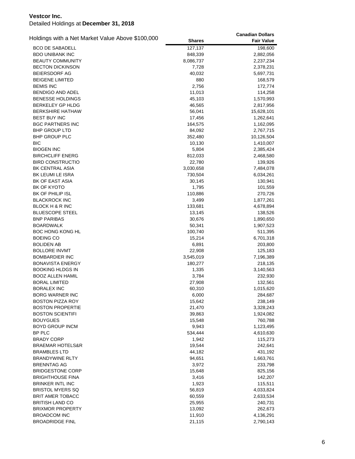| Holdings with a Net Market Value Above \$100,000 |               | <b>Canadian Dollars</b> |
|--------------------------------------------------|---------------|-------------------------|
|                                                  | <b>Shares</b> | <b>Fair Value</b>       |
| <b>BCO DE SABADELL</b>                           | 127,137       | 198,600                 |
| <b>BDO UNIBANK INC</b>                           | 848,339       | 2,882,056               |
| <b>BEAUTY COMMUNITY</b>                          | 8,086,737     | 2,237,234               |
| <b>BECTON DICKINSON</b>                          | 7,728         | 2,378,231               |
| BEIERSDORF AG                                    | 40,032        | 5,697,731               |
| <b>BEIGENE LIMITED</b>                           | 880           | 168,579                 |
| <b>BEMIS INC</b>                                 | 2,756         | 172,774                 |
| BENDIGO AND ADEL                                 | 11,013        | 114,258                 |
| <b>BENESSE HOLDINGS</b>                          | 45,103        | 1,570,993               |
| <b>BERKELEY GP HLDG</b>                          | 46,565        | 2,817,956               |
| <b>BERKSHIRE HATHAW</b>                          | 56,041        | 15,628,101              |
| <b>BEST BUY INC</b>                              | 17,456        | 1,262,641               |
| <b>BGC PARTNERS INC</b>                          | 164,575       | 1,162,095               |
| <b>BHP GROUP LTD</b>                             | 84,092        | 2,767,715               |
| <b>BHP GROUP PLC</b>                             | 352,480       | 10,126,504              |
| <b>BIC</b>                                       | 10,130        | 1,410,007               |
| <b>BIOGEN INC</b>                                | 5,804         | 2,385,424               |
| <b>BIRCHCLIFF ENERG</b>                          | 812,033       | 2,468,580               |
| <b>BIRD CONSTRUCTIO</b>                          | 22,780        | 139,926                 |
| <b>BK CENTRAL ASIA</b>                           | 3,030,658     | 7,484,078               |
| BK LEUMI LE ISRA                                 | 730,504       | 6,034,261               |
| <b>BK OF EAST ASIA</b>                           | 30,145        | 130,941                 |
| BK OF KYOTO                                      | 1,795         | 101,559                 |
| BK OF PHILIP ISL                                 | 110,886       | 270,726                 |
| <b>BLACKROCK INC</b>                             | 3,499         | 1,877,261               |
| BLOCK H & R INC                                  | 133,681       | 4,678,894               |
| <b>BLUESCOPE STEEL</b>                           | 13,145        | 138,526                 |
| <b>BNP PARIBAS</b>                               | 30,676        | 1,890,650               |
| BOARDWALK                                        | 50,341        | 1,907,523               |
| <b>BOC HONG KONG HL</b>                          | 100,740       | 511,395                 |
| <b>BOEING CO</b>                                 | 15,214        | 6,701,318               |
| <b>BOLIDEN AB</b>                                | 6,891         | 203,800                 |
| <b>BOLLORE INVMT</b>                             | 22,908        | 125,183                 |
| <b>BOMBARDIER INC</b>                            | 3,545,019     | 7,196,389               |
| <b>BONAVISTA ENERGY</b>                          | 180,277       | 218,135                 |
| <b>BOOKING HLDGS IN</b>                          | 1,335         | 3,140,563               |
| <b>BOOZ ALLEN HAMIL</b>                          | 3,784         | 232,930                 |
| <b>BORAL LIMITED</b>                             | 27,908        | 132,561                 |
| <b>BORALEX INC</b>                               | 60,310        | 1,015,620               |
| <b>BORG WARNER INC</b>                           | 6,000         | 284,687                 |
| BOSTON PIZZA ROY                                 | 15,642        | 238,149                 |
| <b>BOSTON PROPERTIE</b>                          | 21,470        | 3,328,243               |
| <b>BOSTON SCIENTIFI</b>                          | 39,863        | 1,924,082               |
| <b>BOUYGUES</b>                                  | 15,548        | 760,788                 |
| <b>BOYD GROUP INCM</b>                           | 9,943         | 1,123,495               |
| <b>BP PLC</b>                                    | 534,444       | 4,610,630               |
| <b>BRADY CORP</b>                                | 1,942         | 115,273                 |
| <b>BRAEMAR HOTELS&amp;R</b>                      | 19,544        | 242,641                 |
| <b>BRAMBLES LTD</b>                              | 44,182        | 431,192                 |
| <b>BRANDYWINE RLTY</b>                           | 94,651        | 1,663,761               |
| <b>BRENNTAG AG</b>                               | 3,972         | 233,798                 |
| <b>BRIDGESTONE CORP</b>                          | 15,648        | 825,156                 |
| <b>BRIGHTHOUSE FINA</b>                          | 3,416         | 142,207                 |
| <b>BRINKER INTL INC</b>                          | 1,923         | 115,511                 |
| <b>BRISTOL MYERS SQ</b>                          | 56,819        | 4,033,824               |
| <b>BRIT AMER TOBACC</b>                          | 60,559        | 2,633,534               |
| <b>BRITISH LAND CO</b>                           | 25,955        | 240,731                 |
| <b>BRIXMOR PROPERTY</b>                          | 13,092        | 262,673                 |
| <b>BROADCOM INC</b>                              | 11,910        | 4,136,291               |
| <b>BROADRIDGE FINL</b>                           | 21,115        | 2,790,143               |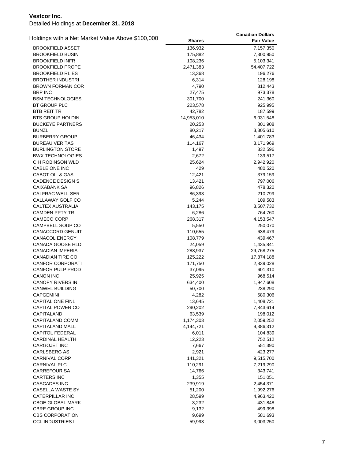| Holdings with a Net Market Value Above \$100,000 |               | <b>Canadian Dollars</b> |
|--------------------------------------------------|---------------|-------------------------|
|                                                  | <b>Shares</b> | <b>Fair Value</b>       |
| <b>BROOKFIELD ASSET</b>                          | 136,932       | 7,157,350               |
| <b>BROOKFIELD BUSIN</b>                          | 175,882       | 7,300,950               |
| <b>BROOKFIELD INFR</b>                           | 108,236       | 5,103,341               |
| <b>BROOKFIELD PROPE</b>                          | 2,471,383     | 54,407,722              |
| <b>BROOKFIELD RL ES</b>                          | 13,368        | 196,276                 |
| <b>BROTHER INDUSTRI</b>                          | 6,314         | 128,198                 |
| <b>BROWN FORMAN COR</b>                          | 4,790         | 312,443                 |
| <b>BRP INC</b>                                   | 27,475        | 973,378                 |
| <b>BSM TECHNOLOGIES</b>                          | 301,700       | 241,360                 |
| <b>BT GROUP PLC</b>                              | 223,578       | 925,995                 |
| <b>BTB REIT TR</b>                               | 42,782        | 187,599                 |
| BTS GROUP HOLDIN                                 | 14,953,010    | 6,031,548               |
| <b>BUCKEYE PARTNERS</b>                          | 20,253        | 801,908                 |
| <b>BUNZL</b>                                     | 80,217        | 3,305,610               |
| <b>BURBERRY GROUP</b>                            | 46,434        | 1,401,783               |
| <b>BUREAU VERITAS</b>                            | 114,167       | 3,171,969               |
| <b>BURLINGTON STORE</b>                          | 1,497         | 332,596                 |
| <b>BWX TECHNOLOGIES</b>                          | 2,672         | 139,517                 |
| C H ROBINSON WLD                                 | 25,624        | 2,942,920               |
| CABLE ONE INC                                    | 429           | 480,520                 |
| <b>CABOT OIL &amp; GAS</b>                       | 12,421        | 379,159                 |
| <b>CADENCE DESIGN S</b>                          | 13,421        | 797,006                 |
| CAIXABANK SA                                     | 96,826        | 478,320                 |
| CALFRAC WELL SER                                 | 86,393        | 210,799                 |
| CALLAWAY GOLF CO                                 | 5,244         | 109,583                 |
| CALTEX AUSTRALIA                                 | 143,175       | 3,507,732               |
| <b>CAMDEN PPTY TR</b>                            | 6,286         | 764,760                 |
| CAMECO CORP                                      | 268,317       | 4,153,547               |
| CAMPBELL SOUP CO                                 | 5,550         | 250,070                 |
| CANACCORD GENUIT                                 | 110,655       | 638,479                 |
| <b>CANACOL ENERGY</b>                            | 108,779       | 439,467                 |
| CANADA GOOSE HLD                                 | 24,059        | 1,435,841               |
| CANADIAN IMPERIA                                 | 288,937       | 29,768,275              |
| <b>CANADIAN TIRE CO</b>                          | 125,222       | 17,874,188              |
| <b>CANFOR CORPORATI</b>                          | 171,750       | 2,839,028               |
| CANFOR PULP PROD                                 | 37,095        | 601,310                 |
| <b>CANON INC</b>                                 | 25,925        | 968,514                 |
| <b>CANOPY RIVERS IN</b>                          | 634,400       | 1,947,608               |
| <b>CANWEL BUILDING</b>                           | 50,700        | 238,290                 |
| <b>CAPGEMINI</b>                                 | 4,282         | 580,306                 |
| <b>CAPITAL ONE FINL</b>                          | 13,645        | 1,408,721               |
| CAPITAL POWER CO                                 | 290,202       | 7,843,614               |
| CAPITALAND                                       | 63,539        | 198,012                 |
| CAPITALAND COMM                                  | 1,174,303     | 2,059,252               |
| CAPITALAND MALL                                  | 4,144,721     | 9,386,312               |
| <b>CAPITOL FEDERAL</b>                           | 6,011         | 104,839                 |
| <b>CARDINAL HEALTH</b>                           | 12,223        | 752,512                 |
| <b>CARGOJET INC</b>                              | 7,667         | 551,390                 |
| <b>CARLSBERG AS</b>                              | 2,921         | 423,277                 |
| CARNIVAL CORP                                    | 141,321       | 9,515,700               |
| CARNIVAL PLC                                     | 110,291       | 7,219,290               |
| <b>CARREFOUR SA</b>                              | 14,766        | 343,741                 |
| <b>CARTERS INC</b>                               | 1,355         | 151,051                 |
| <b>CASCADES INC</b>                              | 239,919       | 2,454,371               |
| CASELLA WASTE SY                                 | 51,200        | 1,992,276               |
| CATERPILLAR INC                                  | 28,599        | 4,963,420               |
| <b>CBOE GLOBAL MARK</b>                          | 3,232         | 431,848                 |
| <b>CBRE GROUP INC</b>                            | 9,132         | 499,398                 |
| <b>CBS CORPORATION</b>                           | 9,699         | 581,693                 |
| <b>CCL INDUSTRIES I</b>                          | 59,993        | 3,003,250               |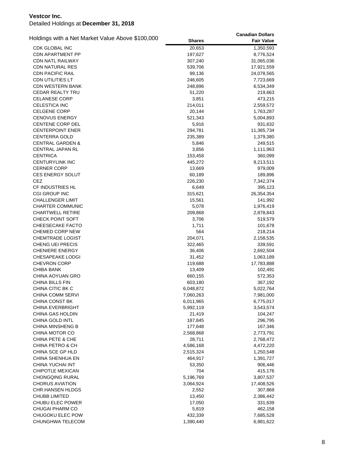|                                                  |               | <b>Canadian Dollars</b> |
|--------------------------------------------------|---------------|-------------------------|
| Holdings with a Net Market Value Above \$100,000 | <b>Shares</b> | <b>Fair Value</b>       |
| CDK GLOBAL INC                                   | 20,653        | 1,350,593               |
| <b>CDN APARTMENT PP</b>                          | 197,627       | 8,776,524               |
| <b>CDN NATL RAILWAY</b>                          | 307,240       | 31,065,036              |
| <b>CDN NATURAL RES</b>                           | 539,706       | 17,921,559              |
| <b>CDN PACIFIC RAIL</b>                          | 99,136        | 24,078,565              |
| CDN UTILITIES LT                                 | 246,605       | 7,723,669               |
| <b>CDN WESTERN BANK</b>                          | 248,896       | 6,534,349               |
| <b>CEDAR REALTY TRU</b>                          | 51,220        | 219,663                 |
| <b>CELANESE CORP</b>                             | 3,851         | 473,215                 |
| <b>CELESTICA INC</b>                             | 214,011       | 2,559,572               |
| <b>CELGENE CORP</b>                              | 20,144        | 1,763,287               |
| <b>CENOVUS ENERGY</b>                            | 521,343       | 5,004,893               |
| <b>CENTENE CORP DEL</b>                          | 5,916         | 931,632                 |
| <b>CENTERPOINT ENER</b>                          | 294,781       | 11,365,734              |
| <b>CENTERRA GOLD</b>                             | 235,389       | 1,379,380               |
| <b>CENTRAL GARDEN &amp;</b>                      | 5,846         | 249,515                 |
| <b>CENTRAL JAPAN RL</b>                          | 3,856         | 1,111,963               |
| <b>CENTRICA</b>                                  | 153,458       | 360,099                 |
| <b>CENTURYLINK INC</b>                           | 445,272       | 9,213,511               |
| <b>CERNER CORP</b>                               | 13,669        | 979,009                 |
| CES ENERGY SOLUT                                 | 60,189        | 189,896                 |
| <b>CEZ</b>                                       | 226,230       | 7,342,374               |
| <b>CF INDUSTRIES HL</b>                          | 6,649         | 395,123                 |
| <b>CGI GROUP INC</b>                             | 315,621       | 26,354,354              |
| <b>CHALLENGER LIMIT</b>                          | 15,561        | 141,992                 |
| CHARTER COMMUNIC                                 | 5,078         | 1,976,419               |
| <b>CHARTWELL RETIRE</b>                          | 209,868       | 2,878,843               |
| CHECK POINT SOFT                                 | 3,706         | 519,579                 |
| <b>CHEESECAKE FACTO</b>                          | 1,711         | 101,678                 |
| CHEMED CORP NEW                                  | 564           | 218,214                 |
| <b>CHEMTRADE LOGIST</b>                          | 204,071       | 2,158,535               |
| CHENG UEI PRECIS                                 | 322,465       | 339,591                 |
| <b>CHENIERE ENERGY</b>                           | 36,406        | 2,692,504               |
| CHESAPEAKE LODGI                                 | 31,452        | 1,063,189               |
| <b>CHEVRON CORP</b>                              | 119,688       | 17,783,888              |
| <b>CHIBA BANK</b>                                | 13,409        | 102,491                 |
| CHINA AOYUAN GRO                                 | 660,155       | 572,353                 |
| CHINA BILLS FIN                                  | 603,180       | 367,192                 |
| CHINA CITIC BK C                                 | 6,048,872     | 5,022,764               |
| CHINA COMM SERVI                                 | 7,060,263     | 7,981,000               |
| CHINA CONST BK                                   | 6,011,965     | 6,775,017               |
| <b>CHINA EVERBRIGHT</b>                          | 5,992,119     | 3,543,574               |
| CHINA GAS HOLDIN                                 | 21,419        | 104,247                 |
| CHINA GOLD INTL                                  | 187,845       | 296,795                 |
| CHINA MINSHENG B                                 | 177,648       | 167,346                 |
| CHINA MOTOR CO                                   | 2,568,868     | 2,773,791               |
| CHINA PETE & CHE                                 | 28,711        | 2,768,472               |
| CHINA PETRO & CH                                 | 4,586,168     | 4,472,220               |
| CHINA SCE GP HLD                                 | 2,515,324     | 1,250,548               |
| CHINA SHENHUA EN                                 | 464,917       | 1,391,727               |
| CHINA YUCHAI INT                                 | 53,350        | 906,446                 |
| <b>CHIPOTLE MEXICAN</b>                          | 704           | 415,176                 |
| CHONGQING RURAL                                  | 5,196,769     | 3,807,537               |
| <b>CHORUS AVIATION</b>                           | 3,064,924     | 17,408,526              |
| CHR.HANSEN HLDGS                                 | 2,552         | 307,869                 |
| <b>CHUBB LIMITED</b>                             | 13,450        | 2,386,442               |
| CHUBU ELEC POWER                                 | 17,050        | 331,639                 |
| <b>CHUGAI PHARM CO</b>                           | 5,819         | 462,158                 |
| CHUGOKU ELEC POW                                 | 432,339       | 7,685,528               |
| CHUNGHWA TELECOM                                 | 1,390,440     | 6,981,622               |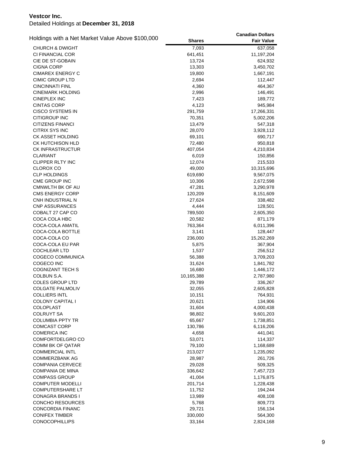| Holdings with a Net Market Value Above \$100,000 |               | <b>Canadian Dollars</b> |
|--------------------------------------------------|---------------|-------------------------|
|                                                  | <b>Shares</b> | <b>Fair Value</b>       |
| <b>CHURCH &amp; DWIGHT</b>                       | 7,093         | 637,058                 |
| CI FINANCIAL COR                                 | 641,451       | 11,197,204              |
| CIE DE ST-GOBAIN                                 | 13,724        | 624,932                 |
| <b>CIGNA CORP</b>                                | 13,303        | 3,450,702               |
| <b>CIMAREX ENERGY C</b>                          | 19,800        | 1,667,191               |
| <b>CIMIC GROUP LTD</b>                           | 2,694         | 112,447                 |
| <b>CINCINNATI FINL</b>                           | 4,360         | 464,367                 |
| <b>CINEMARK HOLDING</b>                          | 2,996         | 146,491                 |
| <b>CINEPLEX INC</b>                              | 7,423         | 189,772                 |
| <b>CINTAS CORP</b>                               | 4,123         | 945,984                 |
| <b>CISCO SYSTEMS IN</b>                          | 291,759       | 17,266,331              |
| <b>CITIGROUP INC</b>                             | 70,351        | 5,002,206               |
| <b>CITIZENS FINANCI</b>                          | 13,479        | 547,318                 |
| <b>CITRIX SYS INC</b>                            | 28,070        | 3,928,112               |
| CK ASSET HOLDING                                 | 69,101        | 690,717                 |
| CK HUTCHISON HLD                                 | 72,480        | 950,818                 |
| <b>CK INFRASTRUCTUR</b>                          | 407,054       | 4,210,834               |
| CLARIANT                                         | 6,019         | 150,856                 |
| CLIPPER RLTY INC                                 | 12,074        | 215,533                 |
| <b>CLOROX CO</b>                                 | 49,000        | 10,315,696              |
| <b>CLP HOLDINGS</b>                              | 619,690       | 9,567,075               |
| <b>CME GROUP INC</b>                             | 10,306        | 2,672,598               |
| <b>CMNWLTH BK OF AU</b>                          | 47,281        | 3,290,978               |
| <b>CMS ENERGY CORP</b>                           | 120,209       | 8,151,609               |
| CNH INDUSTRIAL N                                 | 27,624        | 338,482                 |
| <b>CNP ASSURANCES</b>                            | 4,444         | 128,501                 |
| COBALT 27 CAP CO                                 | 789,500       | 2,605,350               |
| COCA COLA HBC                                    | 20,582        | 871,179                 |
| COCA-COLA AMATIL                                 | 763,364       | 6,011,396               |
| COCA-COLA BOTTLE                                 | 3,141         | 128,447                 |
| COCA-COLA CO                                     | 236,000       | 15,262,269              |
| COCA-COLA EU PAR                                 | 5,875         | 367,904                 |
| <b>COCHLEAR LTD</b>                              | 1,537         | 256,512                 |
| COGECO COMMUNICA                                 | 56,388        | 3,709,203               |
| COGECO INC                                       | 31,624        | 1,841,782               |
| <b>COGNIZANT TECH S</b>                          | 16,680        | 1,446,172               |
| COLBUN S.A.                                      | 10,165,388    | 2,787,980               |
| <b>COLES GROUP LTD</b>                           | 29,789        | 336,267                 |
| <b>COLGATE PALMOLIV</b>                          | 32,055        | 2,605,828               |
| <b>COLLIERS INTL</b>                             | 10,151        | 764,931                 |
| <b>COLONY CAPITAL I</b>                          | 20,621        | 134,906                 |
| <b>COLOPLAST</b>                                 | 31,604        | 4,000,438               |
| COLRUYT SA                                       | 98,802        | 9,601,203               |
| <b>COLUMBIA PPTY TR</b>                          | 65,667        | 1,738,851               |
| <b>COMCAST CORP</b>                              | 130,786       | 6,116,206               |
| <b>COMERICA INC</b>                              | 4,658         | 441,041                 |
| COMFORTDELGRO CO                                 | 53,071        | 114,337                 |
| <b>COMM BK OF QATAR</b>                          | 79,100        | 1,168,689               |
| <b>COMMERCIAL INTL</b>                           | 213,027       | 1,235,092               |
| <b>COMMERZBANK AG</b>                            | 28,987        | 261,726                 |
| <b>COMPANIA CERVECE</b>                          | 29,028        | 509,325                 |
| COMPANIA DE MINA                                 | 336,642       | 7,457,723               |
| <b>COMPASS GROUP</b>                             | 41,004        | 1,176,875               |
| <b>COMPUTER MODELLI</b>                          | 201,714       | 1,228,438               |
| <b>COMPUTERSHARE LT</b>                          | 11,752        | 194,244                 |
| CONAGRA BRANDS I                                 | 13,989        | 408,108                 |
| CONCHO RESOURCES                                 | 5,768         | 809,773                 |
| CONCORDIA FINANC                                 | 29,721        | 156,134                 |
| <b>CONIFEX TIMBER</b>                            | 330,000       | 564,300                 |
| <b>CONOCOPHILLIPS</b>                            | 33,164        | 2,824,168               |
|                                                  |               |                         |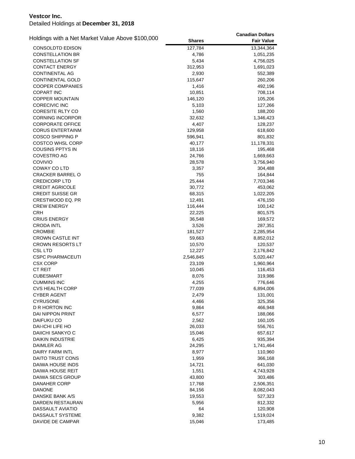| Holdings with a Net Market Value Above \$100,000 |                 | <b>Canadian Dollars</b> |
|--------------------------------------------------|-----------------|-------------------------|
|                                                  | <b>Shares</b>   | <b>Fair Value</b>       |
| <b>CONSOLDTD EDISON</b>                          | 127,784         | 13,344,364              |
| <b>CONSTELLATION BR</b>                          | 4,786           | 1,051,235               |
| <b>CONSTELLATION SF</b>                          | 5,434           | 4,756,025               |
| CONTACT ENERGY                                   | 312,953         | 1,691,023               |
| CONTINENTAL AG                                   | 2,930           | 552,389                 |
| CONTINENTAL GOLD                                 | 115,647         | 260,206                 |
| <b>COOPER COMPANIES</b>                          | 1,416           | 492,196                 |
| <b>COPART INC</b>                                | 10,851          | 708,114                 |
| <b>COPPER MOUNTAIN</b>                           | 146,120         | 105,206                 |
| <b>CORECIVIC INC</b>                             | 5,103           | 127,266                 |
| <b>CORESITE RLTY CO</b>                          | 1,560           | 188,200                 |
| <b>CORNING INCORPOR</b>                          | 32,632          | 1,346,423               |
| <b>CORPORATE OFFICE</b>                          | 4,407           | 128,237                 |
| <b>CORUS ENTERTAINM</b>                          | 129,958         | 618,600                 |
| <b>COSCO SHIPPING P</b>                          | 596,941         | 801,832                 |
| <b>COSTCO WHSL CORP</b>                          | 40,177          | 11,178,331              |
| COUSINS PPTYS IN                                 | 18,116          | 195,468                 |
| COVESTRO AG                                      | 24,766          | 1,669,663               |
| COVIVIO                                          | 28,578          | 3,756,940               |
| <b>COWAY CO LTD</b>                              | 3,357           | 304,488                 |
| <b>CRACKER BARREL O</b>                          | 755             | 164,844                 |
| <b>CREDICORP LTD</b>                             | 25,444          | 7,703,346               |
| <b>CREDIT AGRICOLE</b>                           | 30,772          | 453,062                 |
| <b>CREDIT SUISSE GR</b>                          | 68,315          | 1,022,205               |
| CRESTWOOD EQ. PR                                 | 12,491          | 476,150                 |
| <b>CREW ENERGY</b>                               | 116,444         | 100,142                 |
| <b>CRH</b>                                       | 22,225          | 801,575                 |
| <b>CRIUS ENERGY</b>                              | 36,548          | 169,572                 |
| <b>CRODA INTL</b>                                | 3,526           | 287,351                 |
| <b>CROMBIE</b>                                   | 181,527         | 2,285,954               |
| <b>CROWN CASTLE INT</b>                          | 59,663          | 8,852,012               |
| <b>CROWN RESORTS LT</b>                          | 10,570          | 120,537                 |
| <b>CSL LTD</b>                                   | 12,227          | 2,176,842               |
| <b>CSPC PHARMACEUTI</b>                          | 2,546,845       | 5,020,447               |
| <b>CSX CORP</b>                                  | 23,109          | 1,960,964               |
| <b>CT REIT</b>                                   |                 |                         |
| <b>CUBESMART</b>                                 | 10,045          | 116,453                 |
| <b>CUMMINS INC</b>                               | 8,076           | 319,986                 |
| <b>CVS HEALTH CORP</b>                           | 4,255<br>77,039 | 776,646                 |
|                                                  |                 | 6,894,006               |
| <b>CYBER AGENT</b>                               | 2,479           | 131,001                 |
| CYRUSONE<br>D R HORTON INC                       | 4,466           | 325,356                 |
| <b>DAI NIPPON PRINT</b>                          | 9,864           | 466,948                 |
|                                                  | 6,577           | 188,066                 |
| DAIFUKU CO                                       | 2,562           | 160,105                 |
| DAI-ICHI LIFE HO                                 | 26,033          | 556,761                 |
| DAIICHI SANKYO C                                 | 15,046          | 657,617                 |
| <b>DAIKIN INDUSTRIE</b>                          | 6,425           | 935,394                 |
| DAIMLER AG                                       | 24,295          | 1,741,464               |
| <b>DAIRY FARM INTL</b>                           | 8,977           | 110,960                 |
| DAITO TRUST CONS                                 | 1,959           | 366,168                 |
| DAIWA HOUSE INDS                                 | 14,721          | 641,030                 |
| DAIWA HOUSE REIT                                 | 1,551           | 4,743,928               |
| DAIWA SECS GROUP                                 | 43,800          | 303,486                 |
| DANAHER CORP                                     | 17,768          | 2,506,351               |
| <b>DANONE</b>                                    | 84,156          | 8,082,043               |
| DANSKE BANK A/S                                  | 19,553          | 527,323                 |
| DARDEN RESTAURAN                                 | 5,956           | 812,332                 |
| DASSAULT AVIATIO                                 | 64              | 120,908                 |
| DASSAULT SYSTEME                                 | 9,382           | 1,519,024               |
| DAVIDE DE CAMPAR                                 | 15,046          | 173,485                 |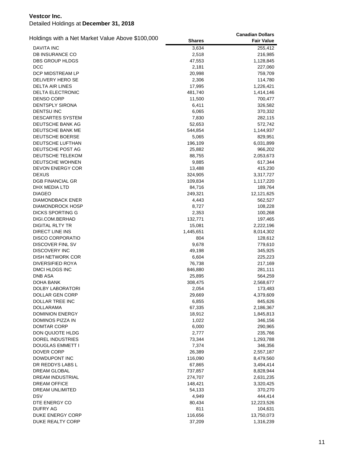| Holdings with a Net Market Value Above \$100,000 |                 | <b>Canadian Dollars</b> |
|--------------------------------------------------|-----------------|-------------------------|
|                                                  | <b>Shares</b>   | <b>Fair Value</b>       |
| <b>DAVITA INC</b>                                | 3,634           | 255,412                 |
| <b>DB INSURANCE CO</b>                           | 2,518           | 216,985                 |
| DBS GROUP HLDGS                                  | 47,553          | 1,128,845               |
| DCC                                              | 2,181           | 227,060                 |
| DCP MIDSTREAM LP                                 | 20,998          | 759,709                 |
| DELIVERY HERO SE                                 | 2,306           | 114,780                 |
| <b>DELTA AIR LINES</b>                           | 17,995          | 1,226,421               |
| DELTA ELECTRONIC                                 | 481,740         | 1,414,146               |
| <b>DENSO CORP</b>                                | 11,500          | 700,477                 |
| <b>DENTSPLY SIRONA</b>                           | 6,411           | 326,582                 |
| <b>DENTSU INC</b>                                | 6,065           | 370,332                 |
| <b>DESCARTES SYSTEM</b>                          | 7,830           | 282,115                 |
| DEUTSCHE BANK AG                                 | 52,653          | 572,742                 |
| DEUTSCHE BANK ME                                 | 544,854         | 1,144,937               |
| DEUTSCHE BOERSE                                  | 5,065           | 829,951                 |
| DEUTSCHE LUFTHAN                                 | 196,109         | 6,031,899               |
| DEUTSCHE POST AG                                 | 25,882          | 966,202                 |
| DEUTSCHE TELEKOM                                 | 88,755          | 2,053,673               |
| DEUTSCHE WOHNEN                                  | 9,885           | 617,344                 |
| <b>DEVON ENERGY COR</b>                          | 13,488          | 415,230                 |
| <b>DEXUS</b>                                     | 324,905         | 3,317,727               |
| <b>DGB FINANCIAL GR</b>                          | 109,834         | 1,117,220               |
| DHX MEDIA LTD                                    | 84,716          | 189,764                 |
| <b>DIAGEO</b>                                    | 249,321         | 12,121,625              |
| <b>DIAMONDBACK ENER</b>                          | 4,443           | 562,527                 |
| DIAMONDROCK HOSP                                 | 8,727           | 108,228                 |
| <b>DICKS SPORTING G</b>                          | 2,353           | 100,268                 |
| DIGI.COM.BERHAD                                  | 132,771         | 197,465                 |
| DIGITAL RLTY TR                                  | 15,081          | 2,222,196               |
| DIRECT LINE INS                                  | 1,445,651       | 8,014,302               |
| <b>DISCO CORPORATIO</b>                          | 804             | 128,612                 |
| DISCOVER FINL SV                                 | 9,678           | 779,610                 |
| <b>DISCOVERY INC</b>                             | 49,198          | 345,925                 |
| <b>DISH NETWORK COR</b>                          | 6,604           | 225,223                 |
| <b>DIVERSIFIED ROYA</b>                          | 76,738          | 217,169                 |
| DMCI HLDGS INC                                   | 846,880         | 281,111                 |
| <b>DNB ASA</b>                                   | 25,895          | 564,259                 |
| DOHA BANK<br>DOLBY LABORATORI                    | 308,475         | 2,568,677               |
| DOLLAR GEN CORP                                  | 2,054<br>29,669 | 173,483<br>4,379,609    |
| DOLLAR TREE INC                                  | 6,855           | 845,626                 |
| <b>DOLLARAMA</b>                                 | 67,335          | 2,186,367               |
| <b>DOMINION ENERGY</b>                           | 18,912          | 1,845,813               |
| DOMINOS PIZZA IN                                 | 1,022           | 346,156                 |
| DOMTAR CORP                                      | 6,000           | 290,965                 |
| DON QUIJOTE HLDG                                 | 2,777           | 235,766                 |
| DOREL INDUSTRIES                                 | 73,344          | 1,293,788               |
| <b>DOUGLAS EMMETT I</b>                          | 7,374           | 346,356                 |
| DOVER CORP                                       | 26,389          | 2,557,187               |
| DOWDUPONT INC                                    | 116,090         | 8,479,560               |
| DR REDDYS LABS L                                 | 67,865          | 3,494,414               |
| <b>DREAM GLOBAL</b>                              | 737,857         | 8,828,944               |
| DREAM INDUSTRIAL                                 | 274,707         | 2,631,235               |
| <b>DREAM OFFICE</b>                              | 148,421         | 3,320,425               |
| DREAM UNLIMITED                                  | 54,133          | 370,270                 |
| <b>DSV</b>                                       | 4,949           | 444,414                 |
| DTE ENERGY CO                                    | 80,434          | 12,223,526              |
| <b>DUFRY AG</b>                                  | 811             | 104,631                 |
| DUKE ENERGY CORP                                 | 116,656         | 13,750,073              |
| DUKE REALTY CORP                                 | 37,209          | 1,316,239               |
|                                                  |                 |                         |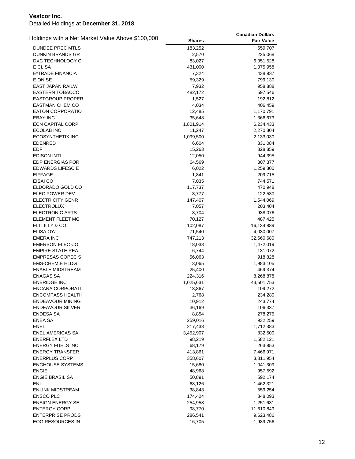| Holdings with a Net Market Value Above \$100,000 |               | <b>Canadian Dollars</b> |
|--------------------------------------------------|---------------|-------------------------|
|                                                  | <b>Shares</b> | <b>Fair Value</b>       |
| DUNDEE PREC MTLS                                 | 183,252       | 659,707                 |
| <b>DUNKIN BRANDS GR</b>                          | 2,570         | 225,068                 |
| DXC TECHNOLOGY C                                 | 83,027        | 6,051,528               |
| E CL SA                                          | 431,000       | 1,075,958               |
| E*TRADE FINANCIA                                 | 7,324         | 438,937                 |
| E.ON SE                                          | 59,329        | 799,130                 |
| <b>EAST JAPAN RAILW</b>                          | 7,932         | 958,888                 |
| EASTERN TOBACCO                                  | 482,172       | 597,546                 |
| EASTGROUP PROPER                                 | 1,527         | 192,812                 |
| <b>EASTMAN CHEM CO</b>                           | 4,034         | 406,459                 |
| <b>EATON CORPORATIO</b>                          | 12,485        | 1,170,791               |
| <b>EBAY INC</b>                                  | 35,648        | 1,366,673               |
| <b>ECN CAPITAL CORP</b>                          | 1,801,914     | 6,234,433               |
| <b>ECOLAB INC</b>                                | 11,247        | 2,270,804               |
| ECOSYNTHETIX INC                                 | 1,099,500     | 2,133,030               |
| EDENRED                                          | 6,604         | 331,084                 |
| <b>EDF</b>                                       | 15,263        | 328,859                 |
| <b>EDISON INTL</b>                               | 12,050        | 944,395                 |
| <b>EDP ENERGIAS POR</b>                          | 64,569        | 307,377                 |
| <b>EDWARDS LIFESCIE</b>                          | 6,022         | 1,259,800               |
| <b>EIFFAGE</b>                                   | 1,841         | 209,715                 |
| EISAI CO                                         | 7,035         | 744,571                 |
| ELDORADO GOLD CO                                 | 117,737       | 470,948                 |
| <b>ELEC POWER DEV</b>                            | 3,777         | 122,530                 |
| <b>ELECTRICITY GENR</b>                          | 147,407       | 1,544,069               |
| <b>ELECTROLUX</b>                                | 7,057         | 203,404                 |
| <b>ELECTRONIC ARTS</b>                           | 8,704         | 938,076                 |
| ELEMENT FLEET MG                                 | 70,127        | 487,425                 |
| ELI LILLY & CO                                   | 102,087       | 16,134,889              |
| ELISA OYJ                                        | 71,540        | 4,030,007               |
| <b>EMERA INC</b>                                 | 747,213       | 32,660,680              |
| <b>EMERSON ELEC CO</b>                           | 18,038        | 1,472,019               |
| <b>EMPIRE STATE REA</b>                          | 6,744         | 131,072                 |
| <b>EMPRESAS COPEC S</b>                          | 56,063        | 918,828                 |
| <b>EMS-CHEMIE HLDG</b>                           | 3,065         | 1,983,105               |
| <b>ENABLE MIDSTREAM</b>                          | 25,400        | 469,374                 |
| <b>ENAGAS SA</b>                                 | 224,316       | 8,268,878               |
| <b>ENBRIDGE INC</b>                              | 1,025,631     | 43,501,753              |
| <b>ENCANA CORPORATI</b>                          | 13,867        | 109,272                 |
| <b>ENCOMPASS HEALTH</b>                          | 2,768         | 234,280                 |
| ENDEAVOUR MINING                                 | 10,912        | 243,774                 |
| <b>ENDEAVOUR SILVER</b>                          | 36,169        | 106,337                 |
| ENDESA SA                                        | 8,854         | 278,275                 |
| <b>ENEA SA</b>                                   | 259,016       | 932,259                 |
| <b>ENEL</b>                                      | 217,438       | 1,712,383               |
| <b>ENEL AMERICAS SA</b>                          | 3,452,907     | 832,500                 |
| <b>ENERFLEX LTD</b>                              | 98,219        | 1,582,121               |
| <b>ENERGY FUELS INC</b>                          | 68,179        | 263,853                 |
| <b>ENERGY TRANSFER</b>                           | 413,861       | 7,466,971               |
| <b>ENERPLUS CORP</b>                             | 358,607       | 3,811,954               |
| <b>ENGHOUSE SYSTEMS</b>                          | 15,680        | 1,041,309               |
| <b>ENGIE</b>                                     | 48,968        | 957,592                 |
| <b>ENGIE BRASIL SA</b>                           | 50,891        | 592,174                 |
| ENI                                              | 68,126        | 1,462,321               |
| ENLINK MIDSTREAM                                 | 38,843        | 559,254                 |
| <b>ENSCO PLC</b>                                 | 174,424       | 848,093                 |
| <b>ENSIGN ENERGY SE</b>                          | 254,958       | 1,251,631               |
| <b>ENTERGY CORP</b>                              | 98,770        | 11,610,849              |
| <b>ENTERPRISE PRODS</b>                          | 286,541       | 9,623,486               |
| EOG RESOURCES IN                                 | 16,705        | 1,989,756               |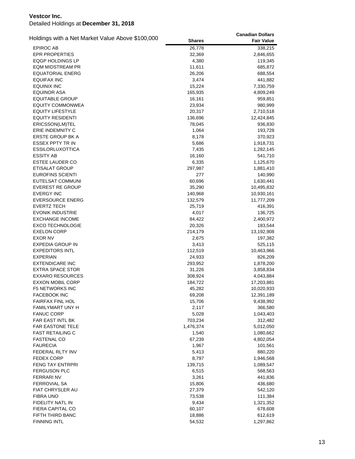| Holdings with a Net Market Value Above \$100,000 |                    | <b>Canadian Dollars</b> |
|--------------------------------------------------|--------------------|-------------------------|
|                                                  | <b>Shares</b>      | <b>Fair Value</b>       |
| <b>EPIROC AB</b>                                 | 26,778             | 338,215                 |
| <b>EPR PROPERTIES</b>                            | 32,369             | 2,846,655               |
| <b>EQGP HOLDINGS LP</b>                          | 4,380              | 119,345                 |
| <b>EQM MIDSTREAM PR</b>                          | 11,611             | 685,872                 |
| EQUATORIAL ENERG                                 | 26,206             | 688,554                 |
| EQUIFAX INC                                      | 3,474              | 441,882                 |
| <b>EQUINIX INC</b>                               | 15,224             | 7,330,759               |
| <b>EQUINOR ASA</b>                               | 165,935            | 4,809,249               |
| <b>EQUITABLE GROUP</b>                           | 16,161             | 959,851                 |
| <b>EQUITY COMMONWEA</b>                          | 23,934             | 980,999                 |
| <b>EQUITY LIFESTYLE</b>                          | 20,317             | 2,710,518               |
| <b>EQUITY RESIDENTI</b>                          | 136,696            | 12,424,845              |
| ERICSSON(LM)TEL                                  | 78,045             | 936,830                 |
| ERIE INDEMNITY C                                 | 1,064              | 193,728                 |
| <b>ERSTE GROUP BK A</b>                          | 8,178              | 370,923                 |
| ESSEX PPTY TR IN                                 | 5,686              | 1,918,731               |
| <b>ESSILORLUXOTTICA</b>                          | 7,435              | 1,282,145               |
| <b>ESSITY AB</b>                                 | 16,160             | 541,710                 |
| ESTEE LAUDER CO                                  | 6,335              | 1,125,670               |
| <b>ETISALAT GROUP</b>                            | 297,987            | 1,881,410               |
| <b>EUROFINS SCIENTI</b>                          | 277                | 140,990                 |
| EUTELSAT COMMUNI                                 | 60,696             | 1,630,441               |
| <b>EVEREST RE GROUP</b><br><b>EVERGY INC</b>     | 35,290             | 10,495,832              |
| <b>EVERSOURCE ENERG</b>                          | 140,968<br>132,579 | 10,930,161              |
| <b>EVERTZ TECH</b>                               | 25,719             | 11,777,209<br>416,391   |
| <b>EVONIK INDUSTRIE</b>                          | 4,017              | 136,725                 |
| <b>EXCHANGE INCOME</b>                           | 84,422             | 2,400,972               |
| <b>EXCO TECHNOLOGIE</b>                          | 20,326             | 183,544                 |
| <b>EXELON CORP</b>                               | 214,179            | 13,192,908              |
| <b>EXOR NV</b>                                   | 2,675              | 197,382                 |
| <b>EXPEDIA GROUP IN</b>                          | 3,413              | 525,115                 |
| <b>EXPEDITORS INTL</b>                           | 112,519            | 10,463,966              |
| <b>EXPERIAN</b>                                  | 24,933             | 826,209                 |
| <b>EXTENDICARE INC</b>                           | 293,952            | 1,878,200               |
| <b>EXTRA SPACE STOR</b>                          | 31,226             | 3,858,834               |
| <b>EXXARO RESOURCES</b>                          | 308,924            | 4,043,884               |
| <b>EXXON MOBIL CORP</b>                          | 184,722            | 17,203,881              |
| <b>F5 NETWORKS INC</b>                           | 45,282             | 10,020,933              |
| <b>FACEBOOK INC</b>                              | 69,208             | 12,391,189              |
| <b>FAIRFAX FINL HOL</b>                          | 15,706             | 9,438,992               |
| <b>FAMILYMART UNY H</b>                          | 2,117              | 366,580                 |
| <b>FANUC CORP</b>                                | 5,028              | 1,043,403               |
| <b>FAR EAST INTL BK</b>                          | 703,234            | 312,482                 |
| <b>FAR EASTONE TELE</b>                          | 1,476,374          | 5,012,050               |
| <b>FAST RETAILING C</b>                          | 1,540              | 1,080,662               |
| <b>FASTENAL CO</b>                               | 67,239             | 4,802,054               |
| <b>FAURECIA</b>                                  | 1,967              | 101,561                 |
| FEDERAL RLTY INV                                 | 5,413              | 880,220                 |
| <b>FEDEX CORP</b>                                | 8,797              | 1,946,568               |
| FENG TAY ENTRPRI                                 | 139,715            | 1,089,547               |
| <b>FERGUSON PLC</b>                              | 6,515              | 568,563                 |
| <b>FERRARI NV</b>                                | 3,261              | 441,836                 |
| <b>FERROVIAL SA</b>                              | 15,806             | 436,680                 |
| FIAT CHRYSLER AU                                 | 27,379             | 542,120                 |
| <b>FIBRA UNO</b>                                 | 73,538             | 111,384                 |
| FIDELITY NATL IN<br>FIERA CAPITAL CO             | 9,434              | 1,321,352               |
| FIFTH THIRD BANC                                 | 60,107<br>18,886   | 678,608<br>612,619      |
| <b>FINNING INTL</b>                              |                    |                         |
|                                                  | 54,532             | 1,297,862               |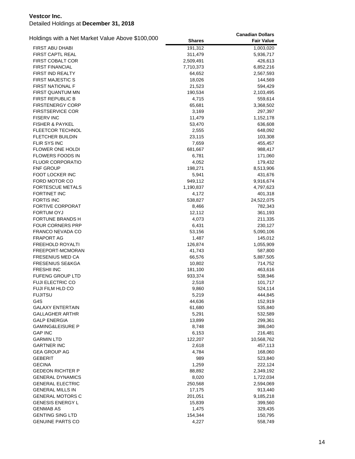| Holdings with a Net Market Value Above \$100,000 |                  | <b>Canadian Dollars</b> |
|--------------------------------------------------|------------------|-------------------------|
|                                                  | <b>Shares</b>    | <b>Fair Value</b>       |
| <b>FIRST ABU DHABI</b>                           | 191,312          | 1,003,020               |
| <b>FIRST CAPTL REAL</b>                          | 311,479          | 5,936,717               |
| <b>FIRST COBALT COR</b>                          | 2,509,491        | 426,613                 |
| <b>FIRST FINANCIAL</b>                           | 7,710,373        | 6,852,216               |
| FIRST IND REALTY                                 | 64,652           | 2,567,593               |
| <b>FIRST MAJESTIC S</b>                          | 18,026           | 144,569                 |
| <b>FIRST NATIONAL F</b>                          | 21,523           | 594,429                 |
| FIRST QUANTUM MN                                 | 190,534          | 2,103,495               |
| <b>FIRST REPUBLIC B</b>                          | 4,715            | 559,614                 |
| <b>FIRSTENERGY CORP</b>                          | 65,681           | 3,368,502               |
| <b>FIRSTSERVICE COR</b>                          | 3,169            | 297,397                 |
| <b>FISERV INC</b>                                | 11,479           | 1,152,178               |
| <b>FISHER &amp; PAYKEL</b>                       | 53,470           | 636,608                 |
| FLEETCOR TECHNOL                                 | 2,555            | 648,092                 |
| <b>FLETCHER BUILDIN</b>                          | 23,115           | 103,308                 |
| <b>FLIR SYS INC</b>                              | 7,659            | 455,457                 |
| <b>FLOWER ONE HOLDI</b>                          | 681,667          | 988,417                 |
| <b>FLOWERS FOODS IN</b>                          | 6,781            | 171,060                 |
| <b>FLUOR CORPORATIO</b>                          | 4,052            | 179,432                 |
| <b>FNF GROUP</b>                                 | 198,271          | 8,513,906               |
| <b>FOOT LOCKER INC</b>                           | 5,941            | 431,676                 |
| FORD MOTOR CO                                    | 949,112          | 9,916,674               |
| <b>FORTESCUE METALS</b>                          | 1,190,837        | 4,797,623               |
| <b>FORTINET INC</b>                              | 4,172            | 401,318                 |
| <b>FORTIS INC</b>                                | 538,827          | 24,522,075              |
| <b>FORTIVE CORPORAT</b>                          | 8,466            | 782,343                 |
| <b>FORTUM OYJ</b>                                | 12,112           | 361,193                 |
| <b>FORTUNE BRANDS H</b>                          | 4,073            | 211,335                 |
| <b>FOUR CORNERS PRP</b>                          | 6,431            | 230,127                 |
| FRANCO NEVADA CO                                 | 53,156           | 5,090,106               |
| <b>FRAPORT AG</b>                                | 1,487            | 145,012                 |
| <b>FREEHOLD ROYALTI</b>                          | 126,874          |                         |
|                                                  |                  | 1,055,909               |
| FREEPORT-MCMORAN<br><b>FRESENIUS MED CA</b>      | 41,743<br>66,576 | 587,800                 |
| <b>FRESENIUS SE&amp;KGA</b>                      |                  | 5,887,505               |
| <b>FRESHII INC</b>                               | 10,802           | 714,752                 |
| <b>FUFENG GROUP LTD</b>                          | 181,100          | 463,616                 |
| <b>FUJI ELECTRIC CO</b>                          | 933,374          | 538,946                 |
| FUJI FILM HLD CO                                 | 2,518            | 101,717                 |
|                                                  | 9,860            | 524,114                 |
| <b>FUJITSU</b>                                   | 5,219            | 444,845                 |
| G4S                                              | 44,636           | 152,919                 |
| <b>GALAXY ENTERTAIN</b>                          | 61,680           | 535,840                 |
| GALLAGHER ARTHR                                  | 5,291            | 532,589                 |
| <b>GALP ENERGIA</b>                              | 13,899           | 299,361                 |
| <b>GAMING&amp;LEISURE P</b>                      | 8,748            | 386,040                 |
| <b>GAP INC</b>                                   | 6,153            | 216,481                 |
| <b>GARMIN LTD</b>                                | 122,207          | 10,568,762              |
| <b>GARTNER INC</b>                               | 2,618            | 457,113                 |
| <b>GEA GROUP AG</b>                              | 4,784            | 168,060                 |
| GEBERIT                                          | 989              | 523,840                 |
| <b>GECINA</b>                                    | 1,259            | 222,124                 |
| <b>GEDEON RICHTER P</b>                          | 88,892           | 2,349,192               |
| <b>GENERAL DYNAMICS</b>                          | 8,020            | 1,722,034               |
| <b>GENERAL ELECTRIC</b>                          | 250,568          | 2,594,069               |
| <b>GENERAL MILLS IN</b>                          | 17,175           | 913,440                 |
| <b>GENERAL MOTORS C</b>                          | 201,051          | 9,185,218               |
| <b>GENESIS ENERGY L</b>                          | 15,839           | 399,560                 |
| <b>GENMAB AS</b>                                 | 1,475            | 329,435                 |
| <b>GENTING SING LTD</b>                          | 154,344          | 150,795                 |
| <b>GENUINE PARTS CO</b>                          | 4,227            | 558,749                 |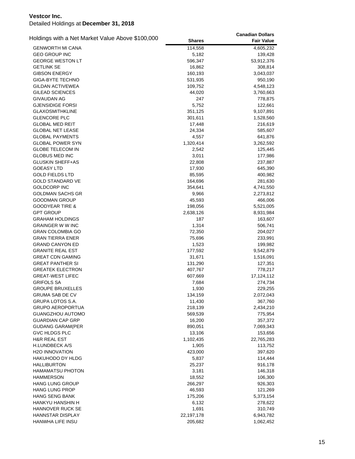|                                                  |               | <b>Canadian Dollars</b> |
|--------------------------------------------------|---------------|-------------------------|
| Holdings with a Net Market Value Above \$100,000 | <b>Shares</b> | <b>Fair Value</b>       |
| <b>GENWORTH MI CANA</b>                          | 114,558       | 4,605,232               |
| <b>GEO GROUP INC</b>                             | 5,182         | 139,428                 |
| <b>GEORGE WESTON LT</b>                          | 596,347       | 53,912,376              |
| <b>GETLINK SE</b>                                | 16,862        | 308,814                 |
| <b>GIBSON ENERGY</b>                             | 160,193       | 3,043,037               |
| <b>GIGA-BYTE TECHNO</b>                          | 531,935       | 950,190                 |
| <b>GILDAN ACTIVEWEA</b>                          | 109,752       | 4,548,123               |
| GILEAD SCIENCES                                  | 44,020        | 3,760,663               |
| <b>GIVAUDAN AG</b>                               | 247           | 778,875                 |
| <b>GJENSIDIGE FORSI</b>                          | 5,752         | 122,661                 |
| <b>GLAXOSMITHKLINE</b>                           | 351,125       | 9,107,891               |
| <b>GLENCORE PLC</b>                              | 301,611       | 1,528,560               |
| <b>GLOBAL MED REIT</b>                           | 17,448        | 216,619                 |
| <b>GLOBAL NET LEASE</b>                          | 24,334        | 585,607                 |
| <b>GLOBAL PAYMENTS</b>                           | 4,557         | 641,876                 |
| GLOBAL POWER SYN                                 | 1,320,414     | 3,262,592               |
| <b>GLOBE TELECOM IN</b>                          | 2,542         | 125,445                 |
| <b>GLOBUS MED INC</b>                            | 3,011         | 177,986                 |
| <b>GLUSKIN SHEFF+AS</b>                          | 22,808        | 237,887                 |
| <b>GOEASY LTD</b>                                | 17,930        | 645,390                 |
| <b>GOLD FIELDS LTD</b>                           | 85,595        | 400,982                 |
| <b>GOLD STANDARD VE</b>                          | 164,696       | 281,630                 |
| <b>GOLDCORP INC</b>                              | 354,641       | 4,741,550               |
| <b>GOLDMAN SACHS GR</b>                          | 9,966         | 2,273,812               |
| <b>GOODMAN GROUP</b>                             | 45,593        | 466,006                 |
| <b>GOODYEAR TIRE &amp;</b>                       | 198,056       | 5,521,005               |
| <b>GPT GROUP</b>                                 | 2,638,126     | 8,931,984               |
| <b>GRAHAM HOLDINGS</b>                           | 187           | 163,607                 |
| <b>GRAINGER W W INC</b>                          | 1,314         | 506,741                 |
| <b>GRAN COLOMBIA GO</b>                          | 72,350        | 204,027                 |
| <b>GRAN TIERRA ENER</b>                          | 75,696        | 233,991                 |
| <b>GRAND CANYON ED</b>                           | 1,523         | 199,982                 |
| <b>GRANITE REAL EST</b>                          | 177,592       | 9,542,879               |
| <b>GREAT CDN GAMING</b>                          | 31,671        | 1,516,091               |
| <b>GREAT PANTHER SI</b>                          | 131,290       | 127,351                 |
| <b>GREATEK ELECTRON</b>                          | 407,767       | 778,217                 |
| <b>GREAT-WEST LIFEC</b>                          | 607,669       | 17,124,112              |
| <b>GRIFOLS SA</b>                                | 7,684         | 274,734                 |
| <b>GROUPE BRUXELLES</b>                          | 1,930         | 229,255                 |
| GRUMA SAB DE CV                                  | 134,159       | 2,072,043               |
| GRUPA LOTOS S.A.                                 | 11,430        | 367,760                 |
| <b>GRUPO AEROPORTUA</b>                          | 218,139       | 2,434,210               |
| <b>GUANGZHOU AUTOMO</b>                          | 569,539       | 775,954                 |
| <b>GUARDIAN CAP GRP</b>                          | 16,200        | 357,372                 |
| <b>GUDANG GARAM(PER</b>                          | 890,051       | 7,069,343               |
| GVC HLDGS PLC                                    | 13,106        | 153,656                 |
| <b>H&amp;R REAL EST</b>                          | 1,102,435     | 22,765,283              |
| <b>H.LUNDBECK A/S</b>                            | 1,905         | 113,752                 |
| <b>H2O INNOVATION</b>                            | 423,000       | 397,620                 |
| HAKUHODO DY HLDG                                 | 5,837         | 114,444                 |
| <b>HALLIBURTON</b>                               | 25,237        | 916,178                 |
| <b>HAMAMATSU PHOTON</b>                          | 3,181         | 146,318                 |
| <b>HAMMERSON</b>                                 | 18,552        | 106,300                 |
| <b>HANG LUNG GROUP</b>                           | 266,297       | 926,303                 |
|                                                  |               |                         |
| <b>HANG LUNG PROP</b>                            | 46,593        | 121,269                 |
| <b>HANG SENG BANK</b><br>HANKYU HANSHIN H        | 175,206       | 5,373,154               |
|                                                  | 6,132         | 278,622                 |
| HANNOVER RUCK SE                                 | 1,691         | 310,749                 |
| <b>HANNSTAR DISPLAY</b>                          | 22,197,178    | 6,943,782               |
| HANWHA LIFE INSU                                 | 205,682       | 1,062,452               |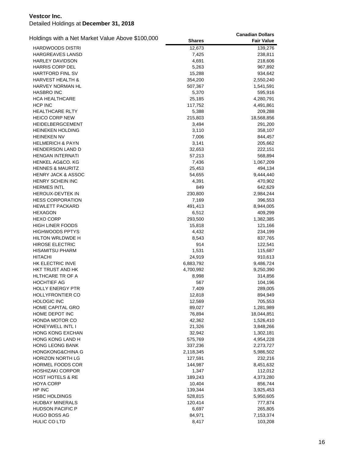| Holdings with a Net Market Value Above \$100,000 |               | <b>Canadian Dollars</b> |
|--------------------------------------------------|---------------|-------------------------|
|                                                  | <b>Shares</b> | <b>Fair Value</b>       |
| <b>HARDWOODS DISTRI</b>                          | 12,673        | 139,276                 |
| <b>HARGREAVES LANSD</b>                          | 7,425         | 238,811                 |
| <b>HARLEY DAVIDSON</b>                           | 4,691         | 218,606                 |
| <b>HARRIS CORP DEL</b>                           | 5,263         | 967,892                 |
| <b>HARTFORD FINL SV</b>                          | 15,288        | 934,642                 |
| <b>HARVEST HEALTH &amp;</b>                      | 354,200       | 2,550,240               |
| HARVEY NORMAN HL                                 | 507,367       | 1,541,591               |
| <b>HASBRO INC</b>                                | 5,370         | 595,916                 |
| HCA HEALTHCARE                                   | 25,185        | 4,280,791               |
| <b>HCP INC</b>                                   | 117,752       | 4,491,861               |
| <b>HEALTHCARE RLTY</b>                           | 5,388         | 209,288                 |
| <b>HEICO CORP NEW</b>                            | 215,803       | 18,568,856              |
| <b>HEIDELBERGCEMENT</b>                          | 3,494         | 291,200                 |
| <b>HEINEKEN HOLDING</b>                          | 3,110         | 358,107                 |
| <b>HEINEKEN NV</b>                               | 7,006         | 844,457                 |
| <b>HELMERICH &amp; PAYN</b>                      | 3,141         | 205,662                 |
| <b>HENDERSON LAND D</b>                          | 32,653        | 222,151                 |
| <b>HENGAN INTERNATI</b>                          | 57,213        | 568,894                 |
| <b>HENKEL AG&amp;CO. KG</b>                      | 7,436         | 1,067,209               |
| <b>HENNES &amp; MAURITZ</b>                      | 25,453        | 494,134                 |
| <b>HENRY JACK &amp; ASSOC</b>                    | 54,655        | 9,444,440               |
| HENRY SCHEIN INC                                 | 4,391         | 470,902                 |
| <b>HERMES INTL</b>                               | 849           | 642,629                 |
| <b>HEROUX-DEVTEK IN</b>                          | 230,800       | 2,984,244               |
| <b>HESS CORPORATION</b>                          | 7,169         | 396,553                 |
| <b>HEWLETT PACKARD</b>                           | 491,413       | 8,944,005               |
| <b>HEXAGON</b>                                   | 6,512         | 409,299                 |
| <b>HEXO CORP</b>                                 | 293,500       | 1,382,385               |
| <b>HIGH LINER FOODS</b>                          | 15,818        | 121,166                 |
| <b>HIGHWOODS PPTYS</b>                           | 4,432         | 234,199                 |
| HILTON WRLDWDE H                                 | 8,543         | 837,765                 |
| <b>HIROSE ELECTRIC</b>                           | 914           | 122,541                 |
| <b>HISAMITSU PHARM</b>                           | 1,531         | 115,687                 |
| <b>HITACHI</b>                                   | 24,919        | 910,613                 |
| HK ELECTRIC INVE                                 | 6,883,792     | 9,486,724               |
| HKT TRUST AND HK                                 | 4,700,992     | 9,250,390               |
| <b>HLTHCARE TR OF A</b>                          | 8,998         | 314,856                 |
| <b>HOCHTIEF AG</b>                               | 567           | 104,196                 |
| <b>HOLLY ENERGY PTR</b>                          | 7,409         | 289,005                 |
| HOLLYFRONTIER CO                                 | 12,818        | 894,949                 |
| <b>HOLOGIC INC</b>                               | 12,569        | 705,553                 |
| <b>HOME CAPITAL GRO</b>                          | 89,027        | 1,281,989               |
| HOME DEPOT INC                                   | 76,894        | 18,044,851              |
| <b>HONDA MOTOR CO</b>                            | 42,362        | 1,526,410               |
| <b>HONEYWELL INTL I</b>                          | 21,326        | 3,848,266               |
| <b>HONG KONG EXCHAN</b>                          | 32,942        | 1,302,181               |
| HONG KONG LAND H                                 | 575,769       | 4,954,228               |
| <b>HONG LEONG BANK</b>                           | 337,236       | 2,273,727               |
| <b>HONGKONG&amp;CHINA G</b>                      | 2,118,345     | 5,986,502               |
| <b>HORIZON NORTH LG</b>                          | 127,591       | 232,216                 |
| HORMEL FOODS COR                                 | 144,987       | 8,451,632               |
| <b>HOSHIZAKI CORPOR</b>                          | 1,347         | 112,012                 |
| <b>HOST HOTELS &amp; RE</b>                      | 189,243       | 4,373,280               |
| <b>HOYA CORP</b>                                 | 10,404        | 856,744                 |
| HP INC                                           | 139,344       | 3,925,453               |
| <b>HSBC HOLDINGS</b>                             | 528,815       | 5,950,605               |
| <b>HUDBAY MINERALS</b>                           | 120,414       | 777,874                 |
| <b>HUDSON PACIFIC P</b>                          | 6,697         | 265,805                 |
| HUGO BOSS AG                                     | 84,971        | 7,153,374               |
| HULIC CO LTD                                     | 8,417         | 103,208                 |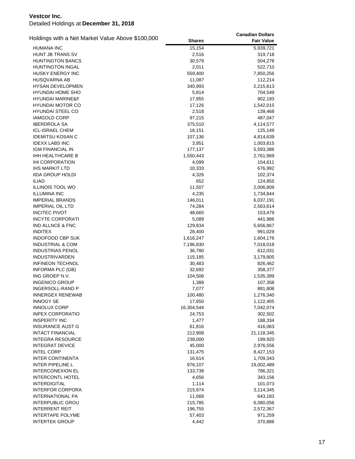| Holdings with a Net Market Value Above \$100,000 |               | <b>Canadian Dollars</b> |
|--------------------------------------------------|---------------|-------------------------|
|                                                  | <b>Shares</b> | <b>Fair Value</b>       |
| <b>HUMANA INC</b>                                | 15,154        | 5,939,721               |
| HUNT JB TRANS SV                                 | 2,516         | 319,718                 |
| <b>HUNTINGTON BANCS</b>                          | 30,579        | 504,278                 |
| <b>HUNTINGTON INGAL</b>                          | 2,011         | 522,710                 |
| <b>HUSKY ENERGY INC</b>                          | 559,400       | 7,850,256               |
| HUSQVARNA AB                                     | 11,087        | 112,214                 |
| <b>HYSAN DEVELOPMEN</b>                          | 340,993       | 2,215,813               |
| <b>HYUNDAI HOME SHO</b>                          | 5,814         | 704,549                 |
| <b>HYUNDAI MARINE&amp;F</b>                      | 17,955        | 902,193                 |
| <b>HYUNDAI MOTOR CO</b>                          | 17,126        | 1,542,015               |
| HYUNDAI STEEL CO                                 | 2,518         | 139,468                 |
| <b>IAMGOLD CORP</b>                              | 97,215        | 487,047                 |
| <b>IBERDROLA SA</b>                              | 375,510       | 4,114,577               |
| <b>ICL-ISRAEL CHEM</b>                           | 16,151        | 125,149                 |
| <b>IDEMITSU KOSAN C</b>                          | 107,136       | 4,814,639               |
| <b>IDEXX LABS INC</b>                            | 3,951         | 1,003,815               |
| IGM FINANCIAL IN                                 | 177,137       | 5,593,386               |
| IHH HEALTHCARE B                                 | 1,550,443     | 2,761,969               |
| <b>IHI CORPORATION</b>                           | 4,099         | 154,611                 |
| <b>IHS MARKIT LTD</b>                            | 10,333        | 676,992                 |
| <b>IIDA GROUP HOLDI</b>                          | 4,326         | 102,374                 |
| <b>ILIAD</b>                                     | 652           | 124,855                 |
| <b>ILLINOIS TOOL WO</b>                          | 11,507        | 2,006,809               |
| <b>ILLUMINA INC</b>                              | 4,235         | 1,734,844               |
| <b>IMPERIAL BRANDS</b>                           | 146,011       | 6,037,191               |
| <b>IMPERIAL OIL LTD</b>                          | 74,284        | 2,563,614               |
| <b>INCITEC PIVOT</b>                             | 48,665        | 153,479                 |
| <b>INCYTE CORPORATI</b>                          | 5,089         | 441,986                 |
| IND ALLNCE & FNC                                 | 129,834       | 5,656,867               |
| <b>INDITEX</b>                                   | 28,400        | 991,029                 |
| <b>INDOFOOD CBP SUK</b>                          | 1,616,247     | 1,604,176               |
| <b>INDUSTRIAL &amp; COM</b>                      | 7,196,830     | 7,018,018               |
| <b>INDUSTRIAS PENOL</b>                          | 36,780        | 612,031                 |
| <b>INDUSTRIVARDEN</b>                            | 115,185       | 3,179,805               |
| <b>INFINEON TECHNOL</b>                          | 30,483        | 826,462                 |
| INFORMA PLC (GB)                                 | 32,692        | 358,377                 |
| ING GROEP N.V.                                   | 104,506       | 1,535,399               |
| <b>INGENICO GROUP</b>                            | 1,388         | 107,358                 |
| INGERSOLL-RAND P                                 | 7,077         | 881,808                 |
| <b>INNERGEX RENEWAB</b>                          | 100,480       | 1,276,340               |
| <b>INNOGY SE</b>                                 | 17,650        | 1,122,405               |
| <b>INNOLUX CORP</b>                              | 16,304,544    | 7,042,074               |
| <b>INPEX CORPORATIO</b>                          | 24,753        | 302,502                 |
| <b>INSPERITY INC</b>                             | 1,477         | 188,334                 |
| <b>INSURANCE AUST G</b>                          | 61,816        | 416,063                 |
| <b>INTACT FINANCIAL</b>                          | 212,908       | 21,118,345              |
| <b>INTEGRA RESOURCE</b>                          | 238,000       | 199,920                 |
| <b>INTEGRAT DEVICE</b>                           | 45,000        | 2,976,556               |
| <b>INTEL CORP</b>                                | 131,475       | 8,427,153               |
| <b>INTER CONTINENTA</b>                          | 16,614        | 1,709,343               |
| <b>INTER PIPELINE L</b>                          | 976,107       | 19,002,489              |
| <b>INTERCONEXION EL</b>                          | 133,738       | 786,321                 |
| <b>INTERCONTL HOTEL</b>                          | 4,656         | 343,156                 |
| <b>INTERDIGITAL</b>                              | 1,114         | 101,073                 |
| <b>INTERFOR CORPORA</b>                          | 215,974       | 3,114,345               |
| INTERNATIONAL PA                                 | 11,668        | 643,183                 |
| <b>INTERPUBLIC GROU</b>                          | 215,785       | 6,080,056               |
| <b>INTERRENT REIT</b>                            | 196,755       | 2,572,367               |
| <b>INTERTAPE POLYME</b>                          | 57,403        | 971,259                 |
| <b>INTERTEK GROUP</b>                            | 4,442         | 370,886                 |
|                                                  |               |                         |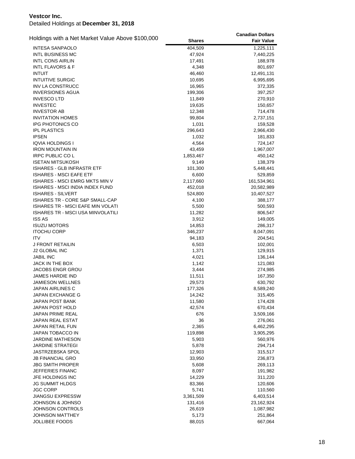|                                                  |                  | <b>Canadian Dollars</b> |
|--------------------------------------------------|------------------|-------------------------|
| Holdings with a Net Market Value Above \$100,000 | <b>Shares</b>    | <b>Fair Value</b>       |
| <b>INTESA SANPAOLO</b>                           | 404,509          | 1,225,111               |
| <b>INTL BUSINESS MC</b>                          | 47,924           | 7,440,225               |
| <b>INTL CONS AIRLIN</b>                          | 17,491           | 188,978                 |
| <b>INTL FLAVORS &amp; F</b>                      | 4,348            | 801,697                 |
| <b>INTUIT</b>                                    | 46,460           | 12,491,131              |
| <b>INTUITIVE SURGIC</b>                          | 10,695           | 6,995,695               |
| <b>INV LA CONSTRUCC</b>                          | 16,965           | 372,335                 |
| <b>INVERSIONES AGUA</b>                          | 199,306          | 397,257                 |
| <b>INVESCO LTD</b>                               | 11,849           | 270,910                 |
| <b>INVESTEC</b>                                  | 19,635           | 150,657                 |
| <b>INVESTOR AB</b>                               | 12,348           | 714,478                 |
| <b>INVITATION HOMES</b>                          | 99,804           | 2,737,151               |
| IPG PHOTONICS CO                                 | 1,031            | 159,528                 |
| <b>IPL PLASTICS</b>                              | 296,643          | 2,966,430               |
| <b>IPSEN</b>                                     | 1,032            | 181,833                 |
| IQVIA HOLDINGS I                                 | 4,564            | 724,147                 |
| <b>IRON MOUNTAIN IN</b>                          | 43,459           | 1,967,007               |
| <b>IRPC PUBLIC COL</b>                           | 1,853,467        | 450,142                 |
| <b>ISETAN MITSUKOSH</b>                          | 9,149            | 138,379                 |
| <b>ISHARES - GLB INFRASTR ETF</b>                | 101,300          | 5,448,441               |
| <b>ISHARES - MSCI EAFE ETF</b>                   | 6,600            | 529,859                 |
| <b>ISHARES - MSCI EMRG MKTS MIN V</b>            | 2,117,660        | 161,534,961             |
| <b>ISHARES - MSCI INDIA INDEX FUND</b>           | 452,018          | 20,582,989              |
| <b>ISHARES - SILVERT</b>                         | 524,800          | 10,407,527              |
| <b>ISHARES TR - CORE S&amp;P SMALL-CAP</b>       | 4,100            | 388,177                 |
| ISHARES TR - MSCI EAFE MIN VOLATI                | 5,500            | 500,593                 |
| ISHARES TR - MSCI USA MINVOLATILI                | 11,282           | 806,547                 |
| <b>ISS AS</b>                                    | 3,912            | 149,005                 |
| <b>ISUZU MOTORS</b>                              | 14,853           | 286,317                 |
| <b>ITOCHU CORP</b>                               | 346,237          | 8,047,091               |
| <b>ITV</b>                                       | 94,183           | 204,541                 |
| J FRONT RETAILIN                                 | 6,503            | 102,001                 |
| <b>J2 GLOBAL INC</b>                             | 1,371            | 129,915                 |
| <b>JABIL INC</b>                                 | 4,021            | 136,144                 |
| <b>JACK IN THE BOX</b>                           |                  |                         |
| JACOBS ENGR GROU                                 | 1,142            | 121,083                 |
| JAMES HARDIE IND                                 | 3,444            | 274,985                 |
| <b>JAMIESON WELLNES</b>                          | 11,511<br>29,573 | 167,350                 |
|                                                  |                  | 630,792                 |
| JAPAN AIRLINES C                                 | 177,326          | 8,589,240               |
| JAPAN EXCHANGE G                                 | 14,242           | 315,405                 |
| <b>JAPAN POST BANK</b>                           | 11,580           | 174,428                 |
| JAPAN POST HOLD                                  | 42,574           | 670,434                 |
| JAPAN PRIME REAL                                 | 676              | 3,509,166               |
| <b>JAPAN REAL ESTAT</b>                          | 36               | 276,061                 |
| JAPAN RETAIL FUN                                 | 2,365            | 6,462,295               |
| JAPAN TOBACCO IN                                 | 119,898          | 3,905,295               |
| <b>JARDINE MATHESON</b>                          | 5,903            | 560,976                 |
| <b>JARDINE STRATEGI</b>                          | 5,878            | 294,714                 |
| <b>JASTRZEBSKA SPOL</b>                          | 12,903           | 315,517                 |
| <b>JB FINANCIAL GRO</b>                          | 33,950           | 236,873                 |
| <b>JBG SMITH PROPER</b>                          | 5,608            | 269,113                 |
| JEFFERIES FINANC                                 | 8,097            | 191,982                 |
| JFE HOLDINGS INC                                 | 14,229           | 311,220                 |
| JG SUMMIT HLDGS                                  | 83,366           | 120,606                 |
| <b>JGC CORP</b>                                  | 5,741            | 110,560                 |
| <b>JIANGSU EXPRESSW</b>                          | 3,361,509        | 6,403,514               |
| JOHNSON & JOHNSO                                 | 131,416          | 23,162,924              |
| JOHNSON CONTROLS                                 | 26,619           | 1,087,982               |
| JOHNSON MATTHEY                                  | 5,173            | 251,864                 |
| <b>JOLLIBEE FOODS</b>                            | 88,015           | 667,064                 |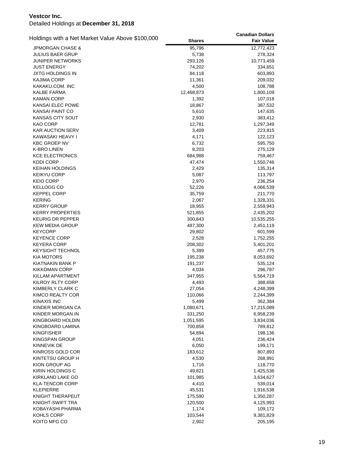|                                                  |               | <b>Canadian Dollars</b> |
|--------------------------------------------------|---------------|-------------------------|
| Holdings with a Net Market Value Above \$100,000 | <b>Shares</b> | <b>Fair Value</b>       |
| <b>JPMORGAN CHASE &amp;</b>                      | 95,796        | 12,772,423              |
| <b>JULIUS BAER GRUP</b>                          | 5,738         | 278,324                 |
| <b>JUNIPER NETWORKS</b>                          | 293,126       | 10,773,459              |
| <b>JUST ENERGY</b>                               | 74,202        | 334,651                 |
| JXTG HOLDINGS IN                                 | 84,118        | 603,893                 |
| <b>KAJIMA CORP</b>                               | 11,361        | 209,032                 |
| KAKAKU.COM. INC                                  | 4,500         | 108,788                 |
| <b>KALBE FARMA</b>                               | 12,468,873    | 1,800,109               |
| <b>KAMAN CORP</b>                                | 1,392         | 107,018                 |
| KANSAI ELEC POWE                                 | 18,867        | 387,532                 |
| <b>KANSAI PAINT CO</b>                           | 5,610         | 147,635                 |
| KANSAS CITY SOUT                                 | 2,930         | 383,412                 |
| KAO CORP                                         | 12,781        | 1,297,349               |
| <b>KAR AUCTION SERV</b>                          | 3,409         | 223,815                 |
| KAWASAKI HEAVY I                                 | 4,171         |                         |
|                                                  |               | 122,123                 |
| <b>KBC GROEP NV</b>                              | 6,732         | 595,750                 |
| <b>K-BRO LINEN</b>                               | 8,203         | 275,129                 |
| <b>KCE ELECTRONICS</b>                           | 684,988       | 759,467                 |
| <b>KDDI CORP</b>                                 | 47,474        | 1,550,746               |
| <b>KEIHAN HOLDINGS</b>                           | 2,429         | 135,314                 |
| <b>KEIKYU CORP</b>                               | 5,087         | 113,797                 |
| <b>KEIO CORP</b>                                 | 2,970         | 236,254                 |
| KELLOGG CO                                       | 52,226        | 4,066,539               |
| <b>KEPPEL CORP</b>                               | 35,759        | 211,770                 |
| <b>KERING</b>                                    | 2,067         | 1,328,331               |
| <b>KERRY GROUP</b>                               | 18,955        | 2,559,943               |
| <b>KERRY PROPERTIES</b>                          | 521,855       | 2,435,202               |
| <b>KEURIG DR PEPPER</b>                          | 300,843       | 10,535,255              |
| <b>KEW MEDIA GROUP</b>                           | 487,300       | 2,451,119               |
| <b>KEYCORP</b>                                   | 29,802        | 601,599                 |
| <b>KEYENCE CORP</b>                              | 2,528         | 1,752,255               |
| <b>KEYERA CORP</b>                               | 208,302       | 5,401,201               |
| <b>KEYSIGHT TECHNOL</b>                          | 5,399         | 457,775                 |
| <b>KIA MOTORS</b>                                | 195,238       | 8,053,692               |
| KIATNAKIN BANK P                                 | 191,237       | 535,124                 |
| <b>KIKKOMAN CORP</b>                             | 4,034         | 296,787                 |
| KILLAM APARTMENT                                 | 347,955       | 5,564,719               |
| KILROY RLTY CORP                                 | 4,493         | 388,658                 |
| KIMBERLY CLARK C                                 | 27,054        | 4,248,399               |
| KIMCO REALTY COR                                 | 110,066       | 2,244,399               |
| KINAXIS INC                                      | 5,499         | 362,384                 |
| KINDER MORGAN CA                                 | 1,080,671     | 17,215,089              |
| KINDER MORGAN IN                                 | 331,250       | 6,958,239               |
| KINGBOARD HOLDIN                                 | 1,051,595     | 3,834,036               |
| KINGBOARD LAMINA                                 | 700,858       |                         |
|                                                  |               | 789,812                 |
| <b>KINGFISHER</b>                                | 54,894        | 198,136                 |
| <b>KINGSPAN GROUP</b>                            | 4,051         | 236,424                 |
| KINNEVIK DE                                      | 6,050         | 199,171                 |
| KINROSS GOLD COR                                 | 183,612       | 807,893                 |
| KINTETSU GROUP H                                 | 4,530         | 268,991                 |
| KION GROUP AG                                    | 1,716         | 118,770                 |
| KIRIN HOLDINGS C                                 | 49,821        | 1,425,536               |
| KIRKLAND LAKE GO                                 | 101,985       | 3,634,627               |
| <b>KLA-TENCOR CORP</b>                           | 4,410         | 539,014                 |
| <b>KLEPIERRE</b>                                 | 45,531        | 1,916,538               |
| KNIGHT THERAPEUT                                 | 175,590       | 1,350,287               |
| KNIGHT-SWIFT TRA                                 | 120,500       | 4,125,993               |
| KOBAYASHI PHARMA                                 | 1,174         | 109,172                 |
| KOHLS CORP                                       | 103,544       | 9,381,829               |
| KOITO MFG CO                                     | 2,902         | 205,195                 |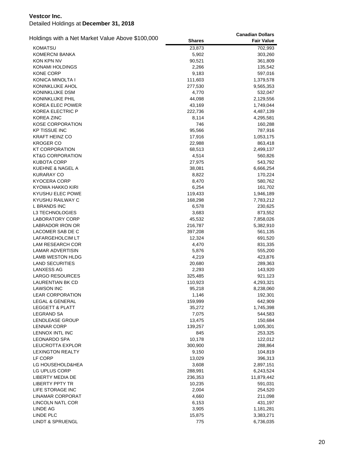| Holdings with a Net Market Value Above \$100,000 |               | <b>Canadian Dollars</b> |
|--------------------------------------------------|---------------|-------------------------|
|                                                  | <b>Shares</b> | <b>Fair Value</b>       |
| <b>KOMATSU</b>                                   | 23,873        | 702,993                 |
| <b>KOMERCNI BANKA</b>                            | 5,902         | 303,260                 |
| KON KPN NV                                       | 90,521        | 361,809                 |
| KONAMI HOLDINGS                                  | 2,266         | 135,542                 |
| <b>KONE CORP</b>                                 | 9,183         | 597,016                 |
| KONICA MINOLTA I                                 | 111,603       | 1,379,578               |
| KONINKLIJKE AHOL                                 | 277,530       | 9,565,353               |
| KONINKLIJKE DSM                                  | 4,770         | 532,047                 |
| KONINKLIJKE PHIL                                 | 44,098        | 2,129,556               |
| KOREA ELEC POWER                                 | 43,169        | 1,749,044               |
| <b>KOREA ELECTRIC P</b>                          | 222,736       | 4,487,139               |
| <b>KOREA ZINC</b>                                | 8,114         | 4,295,581               |
| <b>KOSE CORPORATION</b>                          | 746           | 160,288                 |
| <b>KP TISSUE INC</b>                             | 95,566        | 787,916                 |
| <b>KRAFT HEINZ CO</b>                            | 17,916        | 1,053,175               |
| <b>KROGER CO</b>                                 | 22,988        | 863,418                 |
| KT CORPORATION                                   | 68,513        | 2,499,137               |
| KT&G CORPORATION                                 | 4,514         | 560,826                 |
| <b>KUBOTA CORP</b>                               | 27,975        | 543,792                 |
| KUEHNE & NAGEL A                                 | 38,081        | 6,666,254               |
| <b>KURARAY CO</b>                                | 8,822         | 170,224                 |
| <b>KYOCERA CORP</b>                              | 8,470         | 580,762                 |
| KYOWA HAKKO KIRI                                 | 6,254         | 161,702                 |
| KYUSHU ELEC POWE                                 | 119,433       | 1,946,189               |
| KYUSHU RAILWAY C                                 | 168,298       | 7,783,212               |
| L BRANDS INC                                     | 6,578         | 230,625                 |
| L3 TECHNOLOGIES                                  | 3,683         | 873,552                 |
| LABORATORY CORP                                  | 45,532        | 7,858,026               |
| LABRADOR IRON OR                                 | 216,787       | 5,382,910               |
| LACOMER SAB DE C                                 | 397,208       | 561,135                 |
| LAFARGEHOLCIM LT                                 | 12,324        | 691,520                 |
| LAM RESEARCH COR                                 | 4,470         | 831,335                 |
| LAMAR ADVERTISIN                                 | 5,876         | 555,200                 |
| LAMB WESTON HLDG                                 | 4,219         | 423,876                 |
| <b>LAND SECURITIES</b>                           | 20,680        | 289,363                 |
| <b>LANXESS AG</b>                                | 2,293         | 143,920                 |
| LARGO RESOURCES                                  | 325,485       | 921,123                 |
| LAURENTIAN BK CD                                 | 110,923       | 4,293,321               |
| <b>LAWSON INC</b>                                | 95,218        | 8,238,060               |
| <b>LEAR CORPORATION</b>                          | 1,146         | 192,301                 |
| LEGAL & GENERAL                                  | 159,999       | 642,909                 |
| <b>LEGGETT &amp; PLATT</b>                       | 35,272        | 1,745,398               |
| LEGRAND SA                                       | 7,075         | 544,583                 |
| LENDLEASE GROUP                                  | 13,475        | 150,684                 |
| <b>LENNAR CORP</b>                               | 139,257       | 1,005,301               |
| LENNOX INTL INC                                  | 845           | 253,325                 |
| <b>LEONARDO SPA</b>                              | 10,178        | 122,012                 |
| LEUCROTTA EXPLOR                                 | 300,900       | 288,864                 |
| <b>LEXINGTON REALTY</b>                          | 9,150         | 104,819                 |
| LF CORP                                          | 13,029        | 396,313                 |
| LG HOUSEHOLD&HEA                                 | 3,608         | 2,897,151               |
| LG UPLUS CORP                                    | 288,991       | 6,243,524               |
| LIBERTY MEDIA DE                                 | 236,353       | 11,879,442              |
| <b>LIBERTY PPTY TR</b>                           | 10,235        | 591,031                 |
| LIFE STORAGE INC                                 | 2,004         | 254,520                 |
| LINAMAR CORPORAT                                 | 4,660         | 211,098                 |
| LINCOLN NATL COR                                 | 6,153         | 431,197                 |
| LINDE AG                                         | 3,905         | 1,181,281               |
| LINDE PLC                                        | 15,875        | 3,383,271               |
| <b>LINDT &amp; SPRUENGL</b>                      | 775           | 6,736,035               |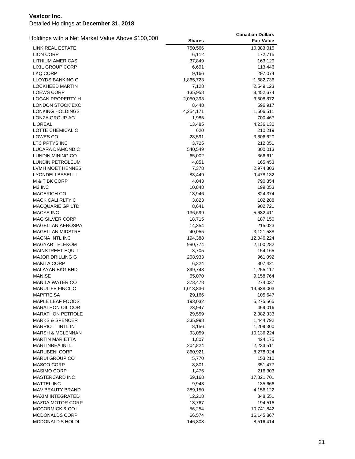| Holdings with a Net Market Value Above \$100,000 |                     | <b>Canadian Dollars</b> |
|--------------------------------------------------|---------------------|-------------------------|
|                                                  | <b>Shares</b>       | <b>Fair Value</b>       |
| LINK REAL ESTATE                                 | 750,566             | 10,383,015              |
| <b>LION CORP</b>                                 | 6,112               | 172,715                 |
| <b>LITHIUM AMERICAS</b>                          | 37,849              | 163,129                 |
| <b>LIXIL GROUP CORP</b>                          | 6,691               | 113,446                 |
| LKQ CORP                                         | 9,166               | 297,074                 |
| LLOYDS BANKING G                                 | 1,865,723           | 1,682,736               |
| LOCKHEED MARTIN                                  | 7,128               | 2,549,123               |
| <b>LOEWS CORP</b>                                | 135,958             | 8,452,674               |
| <b>LOGAN PROPERTY H</b>                          | 2,050,393           | 3,508,872               |
| <b>LONDON STOCK EXC</b>                          | 8,448               | 596,917                 |
| LONKING HOLDINGS                                 | 4,254,171           | 1,506,511               |
| LONZA GROUP AG                                   | 1,985               | 700,467                 |
| <b>L'OREAL</b>                                   | 13,485              | 4,236,130               |
| LOTTE CHEMICAL C                                 | 620                 | 210,219                 |
| LOWES CO                                         | 28,591              | 3,606,620               |
| LTC PPTYS INC                                    | 3,725               | 212,051                 |
| LUCARA DIAMOND C                                 | 540,549             | 800,013                 |
| LUNDIN MINING CO                                 | 65,002              | 366,611                 |
| LUNDIN PETROLEUM                                 | 4,851               | 165,453                 |
| LVMH MOET HENNES                                 | 7,378               | 2,974,303               |
| LYONDELLBASELL I                                 | 83,449              | 9,478,132               |
| M & T BK CORP                                    | 4,043               | 790,354                 |
| M3 INC                                           | 10,848              | 199,053                 |
| <b>MACERICH CO</b>                               | 13,946              | 824,374                 |
| MACK CALI RLTY C                                 | 3,823               | 102,288                 |
| MACQUARIE GP LTD                                 | 8,641               | 902,721                 |
| <b>MACYS INC</b>                                 | 136,699             | 5,632,411               |
| <b>MAG SILVER CORP</b>                           | 18,715              | 187,150                 |
| MAGELLAN AEROSPA                                 | 14,354              | 215,023                 |
| <b>MAGELLAN MIDSTRE</b>                          | 40,055              | 3,121,588               |
| <b>MAGNA INTL INC</b>                            | 194,388             | 12,046,224              |
| <b>MAGYAR TELEKOM</b>                            | 980,774             | 2,100,282               |
| <b>MAINSTREET EQUIT</b>                          | 3,705               | 154,165                 |
| <b>MAJOR DRILLING G</b>                          | 208,933             | 961,092                 |
| MAKITA CORP                                      | 6,324               |                         |
| MALAYAN BKG BHD                                  |                     | 307,421                 |
| MAN SE                                           | 399,748             | 1,255,117               |
| <b>MANILA WATER CO</b>                           | 65,070<br>373,478   | 9,158,764               |
| <b>MANULIFE FINCL C</b>                          |                     | 274,037                 |
| <b>MAPFRE SA</b>                                 | 1,013,836<br>29,166 | 19,638,003<br>105,647   |
|                                                  |                     |                         |
| MAPLE LEAF FOODS                                 | 193,032             | 5,275,565               |
| <b>MARATHON OIL COR</b>                          | 23,947              | 469,016                 |
| <b>MARATHON PETROLE</b>                          | 29,559              | 2,382,333               |
| <b>MARKS &amp; SPENCER</b>                       | 335,998             | 1,444,792               |
| <b>MARRIOTT INTL IN</b>                          | 8,156               | 1,209,300               |
| <b>MARSH &amp; MCLENNAN</b>                      | 93,059              | 10,136,224              |
| <b>MARTIN MARIETTA</b>                           | 1,807               | 424,175                 |
| <b>MARTINREA INTL</b>                            | 204,824             | 2,233,511               |
| <b>MARUBENI CORP</b>                             | 860,921             | 8,278,024               |
| <b>MARUI GROUP CO</b>                            | 5,770               | 153,210                 |
| MASCO CORP                                       | 8,801               | 351,477                 |
| MASIMO CORP                                      | 1,475               | 216,303                 |
| <b>MASTERCARD INC</b>                            | 69,168              | 17,821,701              |
| <b>MATTEL INC</b>                                | 9,943               | 135,666                 |
| <b>MAV BEAUTY BRAND</b>                          | 389,150             | 4,156,122               |
| <b>MAXIM INTEGRATED</b>                          | 12,218              | 848,551                 |
| MAZDA MOTOR CORP                                 | 13,767              | 194,516                 |
| <b>MCCORMICK &amp; CO I</b>                      | 56,254              | 10,741,842              |
| MCDONALDS CORP                                   | 66,574              | 16,145,867              |
| MCDONALD'S HOLDI                                 | 146,808             | 8,516,414               |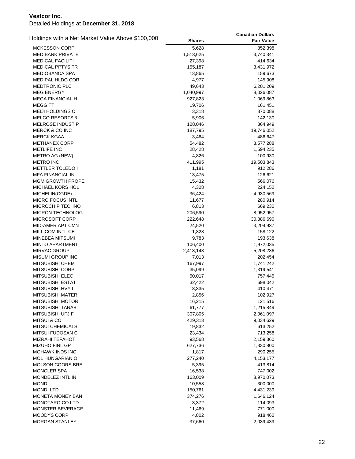| Holdings with a Net Market Value Above \$100,000 |               | <b>Canadian Dollars</b> |
|--------------------------------------------------|---------------|-------------------------|
|                                                  | <b>Shares</b> | <b>Fair Value</b>       |
| <b>MCKESSON CORP</b>                             | 5,628         | 852,398                 |
| <b>MEDIBANK PRIVATE</b>                          | 1,513,625     | 3,740,341               |
| <b>MEDICAL FACILITI</b>                          | 27,398        | 414,634                 |
| <b>MEDICAL PPTYS TR</b>                          | 155,187       | 3,431,972               |
| <b>MEDIOBANCA SPA</b>                            | 13,865        | 159,673                 |
| <b>MEDIPAL HLDG COR</b>                          | 4,977         | 145,908                 |
| <b>MEDTRONIC PLC</b>                             | 49,643        | 6,201,209               |
| <b>MEG ENERGY</b>                                | 1,040,997     | 8,026,087               |
| <b>MEGA FINANCIAL H</b>                          | 927,823       | 1,069,863               |
| <b>MEGGITT</b>                                   | 19,706        | 161,451                 |
| MEIJI HOLDINGS C                                 | 3,318         | 370,088                 |
| <b>MELCO RESORTS &amp;</b>                       | 5,906         | 142,130                 |
| MELROSE INDUST P                                 | 128,046       | 364,949                 |
| MERCK & CO INC                                   | 187,795       | 19,746,052              |
| <b>MERCK KGAA</b>                                | 3,464         | 486,647                 |
| <b>METHANEX CORP</b>                             | 54,482        | 3,577,288               |
| <b>METLIFE INC</b>                               | 28,428        | 1,594,235               |
| METRO AG (NEW)                                   | 4,826         | 100,930                 |
| <b>METRO INC</b>                                 | 411,995       | 19,503,843              |
| <b>METTLER TOLEDO I</b>                          | 1,181         | 912,286                 |
| <b>MFA FINANCIAL IN</b>                          | 13,475        | 126,621                 |
| <b>MGM GROWTH PROPE</b>                          | 15,432        | 566,076                 |
| MICHAEL KORS HOL                                 | 4,328         | 224,152                 |
| MICHELIN(CGDE)                                   | 36,424        | 4,930,569               |
| <b>MICRO FOCUS INTL</b>                          | 11,677        | 280,914                 |
| MICROCHIP TECHNO                                 | 6,813         | 669,230                 |
| <b>MICRON TECHNOLOG</b>                          | 206,590       | 8,952,957               |
| MICROSOFT CORP                                   | 222,648       | 30,886,690              |
| MID-AMER APT CMN                                 | 24,520        | 3,204,937               |
| MILLICOM INTL CE                                 | 1,828         | 158,122                 |
| MINEBEA MITSUMI                                  | 9,783         | 193,638                 |
| <b>MINTO APARTMENT</b>                           | 106,400       | 1,972,035               |
| <b>MIRVAC GROUP</b>                              | 2,418,148     | 5,208,236               |
| MISUMI GROUP INC                                 | 7,013         | 202,454                 |
| <b>MITSUBISHI CHEM</b>                           | 167,997       | 1,741,242               |
| <b>MITSUBISHI CORP</b>                           | 35,099        | 1,319,541               |
| <b>MITSUBISHI ELEC</b>                           | 50,017        | 757,445                 |
| <b>MITSUBISHI ESTAT</b>                          | 32,422        | 698,042                 |
| <b>MITSUBISHI HVY I</b>                          | 8,335         | 410,471                 |
| MITSUBISHI MATER                                 | 2,856         | 102,927                 |
| <b>MITSUBISHI MOTOR</b>                          | 16,215        | 121,516                 |
| MITSUBISHI TANAB                                 | 61,777        | 1,215,849               |
| MITSUBISHI UFJ F                                 | 307,805       | 2,061,097               |
| <b>MITSUI &amp; CO</b>                           | 429,313       | 9,034,629               |
| <b>MITSUI CHEMICALS</b>                          | 19,832        | 613,252                 |
| MITSUI FUDOSAN C                                 | 23,434        | 713,258                 |
| <b>MIZRAHI TEFAHOT</b>                           | 93,568        | 2,159,360               |
| <b>MIZUHO FINL GP</b>                            | 627,736       | 1,330,800               |
| <b>MOHAWK INDS INC</b>                           | 1,817         | 290,255                 |
| <b>MOL HUNGARIAN OI</b>                          | 277,240       | 4,153,177               |
| <b>MOLSON COORS BRE</b>                          | 5,395         | 413,814                 |
| <b>MONCLER SPA</b>                               | 16,538        | 747,002                 |
| MONDELEZ INTL IN                                 | 163,009       | 8,970,073               |
| <b>MONDI</b>                                     | 10,558        | 300,000                 |
| <b>MONDILTD</b>                                  | 150,761       | 4,431,239               |
| MONETA MONEY BAN                                 | 374,276       | 1,646,124               |
| MONOTARO CO.LTD                                  | 3,372         | 114,093                 |
| MONSTER BEVERAGE                                 | 11,469        | 771,000                 |
| MOODYS CORP                                      | 4,802         | 918,462                 |
| MORGAN STANLEY                                   | 37,660        | 2,039,439               |
|                                                  |               |                         |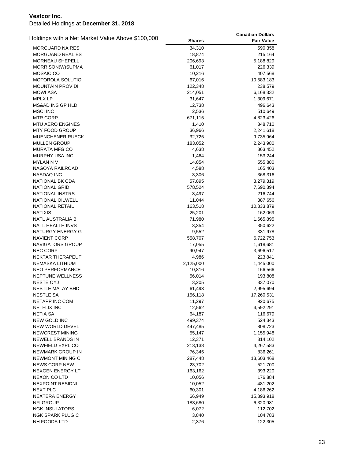|                                                  |                  | <b>Canadian Dollars</b> |
|--------------------------------------------------|------------------|-------------------------|
| Holdings with a Net Market Value Above \$100,000 | <b>Shares</b>    | <b>Fair Value</b>       |
| MORGUARD NA RES                                  | 34,310           | 590,358                 |
| <b>MORGUARD REAL ES</b>                          | 18,874           | 215,164                 |
| MORNEAU SHEPELL                                  | 206,693          | 5,188,829               |
| MORRISON(W)SUPMA                                 | 61,017           | 226,339                 |
| <b>MOSAIC CO</b>                                 | 10,216           | 407,568                 |
| MOTOROLA SOLUTIO                                 | 67,016           | 10,583,183              |
| MOUNTAIN PROV DI                                 | 122,348          | 238,579                 |
| <b>MOWI ASA</b>                                  | 214,051          | 6,168,332               |
| <b>MPLX LP</b>                                   | 31,647           | 1,309,671               |
| <b>MS&amp;AD INS GP HLD</b>                      | 12,738           | 496,643                 |
| <b>MSCI INC</b>                                  | 2,536            | 510,649                 |
| MTR CORP                                         | 671,115          | 4,823,426               |
| MTU AERO ENGINES                                 | 1,410            | 348,710                 |
| MTY FOOD GROUP                                   | 36,966           | 2,241,618               |
| <b>MUENCHENER RUECK</b>                          | 32,725           | 9,735,964               |
| <b>MULLEN GROUP</b>                              | 183,052          | 2,243,980               |
| <b>MURATA MFG CO</b>                             | 4,638            | 863,452                 |
| MURPHY USA INC                                   | 1,464            | 153,244                 |
| MYLAN N V                                        | 14,854           | 555,880                 |
| NAGOYA RAILROAD                                  | 4,588            | 165,403                 |
| NASDAQ INC                                       | 3,306            | 368,316                 |
| NATIONAL BK CDA                                  | 57,895           | 3,279,319               |
| <b>NATIONAL GRID</b>                             | 578,524          | 7,690,394               |
| <b>NATIONAL INSTRS</b>                           | 3,497            | 216,744                 |
| NATIONAL OILWELL                                 | 11,044           | 387,656                 |
| <b>NATIONAL RETAIL</b>                           | 163,518          | 10,833,879              |
| <b>NATIXIS</b>                                   | 25,201           |                         |
| NATL AUSTRALIA B                                 |                  | 162,069                 |
| NATL HEALTH INVS                                 | 71,980           | 1,665,895               |
| NATURGY ENERGY G                                 | 3,354            | 350,622                 |
| <b>NAVIENT CORP</b>                              | 9,552<br>558,707 | 331,978                 |
| <b>NAVIGATORS GROUP</b>                          |                  | 6,722,753               |
| <b>NEC CORP</b>                                  | 17,055           | 1,618,681               |
| NEKTAR THERAPEUT                                 | 90,947           | 3,696,517               |
|                                                  | 4,986            | 223,841                 |
| NEMASKA LITHIUM                                  | 2,125,000        | 1,445,000               |
| <b>NEO PERFORMANCE</b>                           | 10,816           | 166,566                 |
| <b>NEPTUNE WELLNESS</b>                          | 56,014           | 193,808                 |
| <b>NESTE OYJ</b>                                 | 3,205            | 337,070                 |
| <b>NESTLE MALAY BHD</b>                          | 61,493           | 2,995,694               |
| <b>NESTLE SA</b>                                 | 156,118          | 17,260,531              |
| NETAPP INC COM                                   | 11,297           | 920,675                 |
| <b>NETFLIX INC</b>                               | 12,562           | 4,592,291               |
| <b>NETIA SA</b>                                  | 64,187           | 116,679                 |
| NEW GOLD INC                                     | 499,374          | 524,343                 |
| <b>NEW WORLD DEVEL</b>                           | 447,485          | 808,723                 |
| NEWCREST MINING                                  | 55,147           | 1,155,948               |
| <b>NEWELL BRANDS IN</b>                          | 12,371           | 314,102                 |
| NEWFIELD EXPL CO                                 | 213,138          | 4,267,583               |
| NEWMARK GROUP IN                                 | 76,345           | 836,261                 |
| NEWMONT MINING C                                 | 287,448          | 13,603,468              |
| <b>NEWS CORP NEW</b>                             | 23,702           | 521,700                 |
| <b>NEXGEN ENERGY LT</b>                          | 163,162          | 393,220                 |
| NEXON CO LTD                                     | 10,056           | 176,884                 |
| <b>NEXPOINT RESIDNL</b>                          | 10,052           | 481,202                 |
| NEXT PLC                                         | 60,301           | 4,186,262               |
| <b>NEXTERA ENERGY I</b>                          | 66,949           | 15,893,918              |
| NFI GROUP                                        | 183,680          | 6,320,981               |
| <b>NGK INSULATORS</b>                            | 6,072            | 112,702                 |
| NGK SPARK PLUG C                                 | 3,840            | 104,783                 |
| NH FOODS LTD                                     | 2,376            | 122,305                 |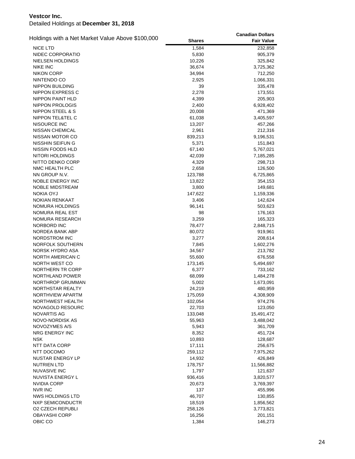| Holdings with a Net Market Value Above \$100,000 |               | <b>Canadian Dollars</b> |
|--------------------------------------------------|---------------|-------------------------|
|                                                  | <b>Shares</b> | <b>Fair Value</b>       |
| <b>NICE LTD</b>                                  | 1,584         | 232,858                 |
| NIDEC CORPORATIO                                 | 5,830         | 905,379                 |
| NIELSEN HOLDINGS                                 | 10,226        | 325,842                 |
| <b>NIKE INC</b>                                  | 36,674        | 3,725,362               |
| <b>NIKON CORP</b>                                | 34,994        | 712,250                 |
| NINTENDO CO                                      | 2,925         | 1,066,331               |
| <b>NIPPON BUILDING</b>                           | 39            | 335,478                 |
| NIPPON EXPRESS C                                 | 2,278         | 173,551                 |
| <b>NIPPON PAINT HLD</b>                          | 4,399         | 205,903                 |
| <b>NIPPON PROLOGIS</b>                           | 2,400         | 6,928,402               |
| NIPPON STEEL & S                                 | 20,008        | 471,369                 |
| NIPPON TEL&TEL C                                 | 61,038        | 3,405,597               |
| NISOURCE INC                                     | 13,207        | 457,266                 |
| NISSAN CHEMICAL                                  | 2,961         | 212,316                 |
| NISSAN MOTOR CO                                  | 839,213       | 9,196,531               |
| NISSHIN SEIFUN G                                 | 5,371         | 151,843                 |
| NISSIN FOODS HLD                                 | 67,140        | 5,767,021               |
| NITORI HOLDINGS                                  | 42,039        | 7,185,285               |
| NITTO DENKO CORP                                 | 4,329         | 298,713                 |
| NMC HEALTH PLC                                   | 2,658         | 126,500                 |
| NN GROUP N.V.                                    | 123,788       | 6,725,865               |
| NOBLE ENERGY INC                                 | 13,822        | 354,153                 |
| <b>NOBLE MIDSTREAM</b>                           | 3,800         | 149,681                 |
| <b>NOKIA OYJ</b>                                 | 147,622       | 1,159,336               |
| <b>NOKIAN RENKAAT</b>                            | 3,406         | 142,624                 |
| NOMURA HOLDINGS                                  | 96,141        | 503,623                 |
| NOMURA REAL EST                                  | 98            | 176,163                 |
| NOMURA RESEARCH                                  | 3,259         | 165,323                 |
| NORBORD INC                                      | 78,477        | 2,848,715               |
| NORDEA BANK ABP                                  | 80,072        | 919,961                 |
| NORDSTROM INC                                    | 3,277         | 208,614                 |
| NORFOLK SOUTHERN                                 | 7,845         | 1,602,276               |
| NORSK HYDRO ASA                                  | 34,567        | 213,782                 |
| NORTH AMERICAN C                                 | 55,600        | 676,558                 |
| NORTH WEST CO                                    | 173,145       | 5,494,697               |
| NORTHERN TR CORP                                 | 6,377         | 733,162                 |
| NORTHLAND POWER                                  | 68,099        | 1,484,278               |
| NORTHROP GRUMMAN                                 | 5,002         | 1,673,091               |
| NORTHSTAR REALTY                                 | 24,219        | 480,959                 |
| NORTHVIEW APARTM                                 | 175,059       | 4,308,909               |
| NORTHWEST HEALTH                                 | 102,054       | 974,276                 |
| NOVAGOLD RESOURC                                 | 22,703        | 123,050                 |
| NOVARTIS AG                                      | 133,048       | 15,491,472              |
| NOVO-NORDISK AS                                  | 55,963        | 3,488,042               |
| NOVOZYMES A/S                                    | 5,943         | 361,709                 |
| NRG ENERGY INC                                   | 8,352         | 451,724                 |
| <b>NSK</b>                                       | 10,893        | 128,687                 |
| NTT DATA CORP                                    | 17,111        | 256,675                 |
| NTT DOCOMO                                       | 259,112       | 7,975,262               |
| NUSTAR ENERGY LP                                 | 14,932        | 426,849                 |
| <b>NUTRIEN LTD</b>                               | 178,757       | 11,566,882              |
| <b>NUVASIVE INC</b>                              | 1,797         | 121,637                 |
| NUVISTA ENERGY L                                 | 936,416       | 3,820,577               |
| <b>NVIDIA CORP</b>                               | 20,673        | 3,769,397               |
| NVR INC                                          | 137           | 455,996                 |
| NWS HOLDINGS LTD                                 | 46,707        | 130,855                 |
| <b>NXP SEMICONDUCTR</b>                          | 18,519        | 1,856,562               |
| <b>02 CZECH REPUBLI</b>                          | 258,126       | 3,773,821               |
| <b>OBAYASHI CORP</b>                             | 16,256        | 201,151                 |
| OBIC CO                                          | 1,384         | 146,273                 |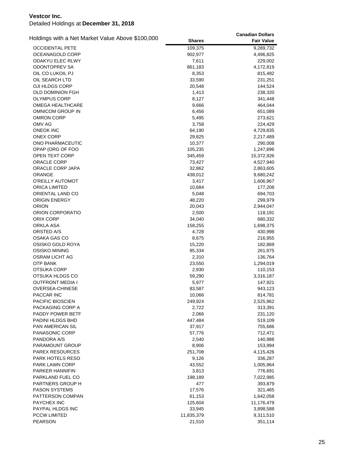| Holdings with a Net Market Value Above \$100,000 |               | <b>Canadian Dollars</b> |
|--------------------------------------------------|---------------|-------------------------|
|                                                  | <b>Shares</b> | <b>Fair Value</b>       |
| <b>OCCIDENTAL PETE</b>                           | 109,375       | 9,289,732               |
| OCEANAGOLD CORP                                  | 902,977       | 4,496,825               |
| ODAKYU ELEC RLWY                                 | 7,611         | 229,002                 |
| <b>ODONTOPREV SA</b>                             | 861,183       | 4,172,819               |
| OIL CO LUKOIL PJ                                 | 8,353         | 815,482                 |
| OIL SEARCH LTD                                   | 33,590        | 231,251                 |
| OJI HLDGS CORP                                   | 20,548        | 144,524                 |
| <b>OLD DOMINION FGH</b>                          | 1,413         | 238,320                 |
| <b>OLYMPUS CORP</b>                              | 8,127         | 341,448                 |
| OMEGA HEALTHCARE                                 | 9,666         | 464,044                 |
| OMNICOM GROUP IN                                 | 6,456         | 651,089                 |
| <b>OMRON CORP</b>                                | 5,495         | 273,621                 |
| OMV AG                                           | 3,758         | 224,429                 |
| <b>ONEOK INC</b>                                 | 64,190        | 4,729,835               |
| <b>ONEX CORP</b>                                 | 29,825        | 2,217,489               |
| ONO PHARMACEUTIC                                 | 10,377        | 290,008                 |
| OPAP (ORG OF FOO                                 | 105,235       | 1,247,896               |
| OPEN TEXT CORP                                   | 345,459       | 15,372,926              |
| ORACLE CORP                                      | 73,427        | 4,527,940               |
| ORACLE CORP JAPA                                 | 32,862        | 2,863,605               |
| ORANGE                                           | 438,012       | 9,680,242               |
| O'REILLY AUTOMOT                                 | 3,417         | 1,606,967               |
| <b>ORICA LIMITED</b>                             | 10,684        | 177,208                 |
| ORIENTAL LAND CO                                 | 5,048         | 694,703                 |
| ORIGIN ENERGY                                    | 48,220        | 299,979                 |
| <b>ORION</b>                                     | 20,043        | 2,944,047               |
| ORION CORPORATIO                                 | 2,500         | 118,191                 |
| ORIX CORP                                        | 34,040        | 680,332                 |
| ORKLA ASA                                        | 158,255       | 1,698,375               |
| ORSTED A/S                                       | 4,728         | 430,998                 |
| OSAKA GAS CO                                     | 8,675         | 216,955                 |
| OSISKO GOLD ROYA                                 | 15,220        | 182,869                 |
| OSISKO MINING                                    | 85,334        | 261,975                 |
| OSRAM LICHT AG                                   | 2,310         | 136,764                 |
| OTP BANK                                         | 23,550        |                         |
| OTSUKA CORP                                      |               | 1,294,019               |
|                                                  | 2,930         | 110,153                 |
| OTSUKA HLDGS CO<br><b>OUTFRONT MEDIA I</b>       | 59,290        | 3,316,187               |
|                                                  | 5,977         | 147,921                 |
| <b>OVERSEA-CHINESE</b>                           | 83,587        | 943,123                 |
| PACCAR INC                                       | 10,066        | 814,781                 |
| PACIFIC BIOSCIEN                                 | 249,924       | 2,525,962               |
| PACKAGING CORP A                                 | 2,722         | 313,391                 |
| PADDY POWER BETF                                 | 2,066         | 231,120                 |
| PADINI HLDGS BHD                                 | 447,484       | 519,109                 |
| PAN AMERICAN SIL                                 | 37,917        | 755,686                 |
| PANASONIC CORP                                   | 57,776        | 712,471                 |
| PANDORA A/S                                      | 2,540         | 140,988                 |
| PARAMOUNT GROUP                                  | 8,906         | 153,994                 |
| <b>PAREX RESOURCES</b>                           | 251,708       | 4,115,426               |
| PARK HOTELS RESO                                 | 9,126         | 336,287                 |
| PARK LAWN CORP                                   | 43,552        | 1,005,964               |
| PARKER HANNIFIN                                  | 3,813         | 776,691                 |
| PARKLAND FUEL CO                                 | 198,189       | 7,022,985               |
| PARTNERS GROUP H                                 | 477           | 393,879                 |
| <b>PASON SYSTEMS</b>                             | 17,576        | 321,465                 |
| PATTERSON COMPAN                                 | 61,153        | 1,642,058               |
| PAYCHEX INC                                      | 125,604       | 11,176,479              |
| PAYPAL HLDGS INC                                 | 33,945        | 3,898,588               |
| <b>PCCW LIMITED</b>                              | 11,835,379    | 9,311,510               |
| <b>PEARSON</b>                                   | 21,510        | 351,114                 |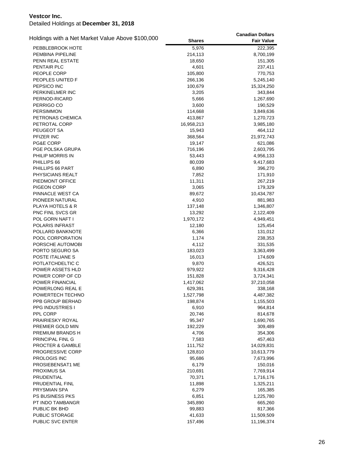| Holdings with a Net Market Value Above \$100,000 |               | <b>Canadian Dollars</b> |
|--------------------------------------------------|---------------|-------------------------|
|                                                  | <b>Shares</b> | <b>Fair Value</b>       |
| PEBBLEBROOK HOTE                                 | 5,976         | 222,395                 |
| PEMBINA PIPELINE                                 | 214,113       | 8,700,199               |
| PENN REAL ESTATE                                 | 18,650        | 151,305                 |
| PENTAIR PLC                                      | 4,601         | 237,411                 |
| PEOPLE CORP                                      | 105,800       | 770,753                 |
| PEOPLES UNITED F                                 | 266,136       | 5,245,140               |
| PEPSICO INC                                      | 100,679       | 15,324,250              |
| PERKINELMER INC                                  | 3,205         | 343,844                 |
| PERNOD-RICARD                                    | 5,666         | 1,267,690               |
| PERRIGO CO                                       | 3,600         | 190,529                 |
| <b>PERSIMMON</b>                                 | 114,668       | 3,849,636               |
| PETRONAS CHEMICA                                 | 413,867       | 1,270,723               |
| PETROTAL CORP                                    | 16,958,213    | 3,985,180               |
| PEUGEOT SA                                       | 15,943        | 464,112                 |
| PFIZER INC                                       | 368,564       | 21,972,743              |
| PG&E CORP                                        | 19,147        | 621,086                 |
| PGE POLSKA GRUPA                                 | 716,196       | 2,603,795               |
| PHILIP MORRIS IN                                 | 53,443        | 4,956,133               |
| PHILLIPS 66                                      | 80,039        | 9,417,683               |
| PHILLIPS 66 PART                                 | 6,890         | 396,270                 |
| PHYSICIANS REALT                                 | 7,852         | 171,910                 |
| PIEDMONT OFFICE                                  | 11,311        | 267,219                 |
| <b>PIGEON CORP</b>                               | 3,065         | 179,329                 |
| PINNACLE WEST CA                                 | 89,672        | 10,434,787              |
| PIONEER NATURAL                                  | 4,910         | 881,983                 |
| PLAYA HOTELS & R                                 | 137,148       | 1,346,807               |
| PNC FINL SVCS GR                                 | 13,292        | 2,122,409               |
| POL GORN NAFT I                                  | 1,970,172     | 4,949,451               |
| POLARIS INFRAST                                  | 12,180        | 125,454                 |
| POLLARD BANKNOTE                                 | 6,366         | 131,012                 |
| POOL CORPORATION                                 | 1,174         | 238,353                 |
| PORSCHE AUTOMOBI                                 | 4,112         | 331,535                 |
| PORTO SEGURO SA                                  | 183,023       | 3,363,499               |
| POSTE ITALIANE S                                 | 16,013        | 174,609                 |
| POTLATCHDELTIC C                                 | 9,870         | 426,521                 |
| POWER ASSETS HLD                                 | 979,922       | 9,316,428               |
| POWER CORP OF CD                                 | 151,828       | 3,724,341               |
| <b>POWER FINANCIAL</b>                           | 1,417,062     | 37,210,058              |
| POWERLONG REAL E                                 | 629,391       | 338,168                 |
| POWERTECH TECHNO                                 | 1,527,798     | 4,487,382               |
| PPB GROUP BERHAD                                 | 198,874       | 1,155,503               |
| <b>PPG INDUSTRIES I</b>                          | 6,910         | 964,814                 |
| PPL CORP                                         | 20,746        | 814,678                 |
| PRAIRIESKY ROYAL                                 | 95,347        | 1,690,765               |
| PREMIER GOLD MIN                                 | 192,229       | 309,489                 |
| PREMIUM BRANDS H                                 | 4,706         | 354,306                 |
| PRINCIPAL FINL G                                 | 7,583         | 457,463                 |
| <b>PROCTER &amp; GAMBLE</b>                      | 111,752       | 14,029,831              |
| PROGRESSIVE CORP                                 | 128,810       | 10,613,779              |
| <b>PROLOGIS INC</b>                              | 95,686        | 7,673,996               |
| PROSIEBENSAT1 ME                                 | 6,179         | 150,016                 |
| PROXIMUS SA                                      | 210,691       | 7,769,914               |
| PRUDENTIAL                                       | 70,371        | 1,716,176               |
| PRUDENTIAL FINL                                  | 11,898        | 1,325,211               |
| <b>PRYSMIAN SPA</b>                              | 6,279         | 165,385                 |
| <b>PS BUSINESS PKS</b>                           | 6,851         | 1,225,780               |
| PT INDO TAMBANGR                                 | 345,890       | 665,260                 |
| PUBLIC BK BHD                                    | 99,883        | 817,366                 |
| PUBLIC STORAGE                                   | 41,633        | 11,509,509              |
| PUBLIC SVC ENTER                                 | 157,496       | 11,196,374              |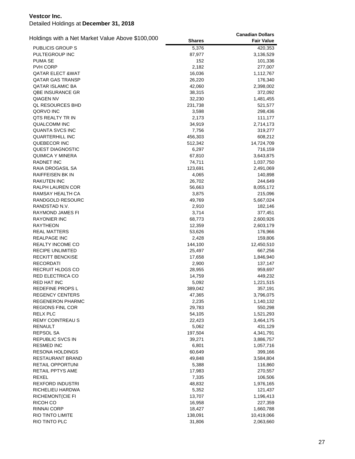|                                                  |               | <b>Canadian Dollars</b> |
|--------------------------------------------------|---------------|-------------------------|
| Holdings with a Net Market Value Above \$100,000 | <b>Shares</b> | <b>Fair Value</b>       |
| <b>PUBLICIS GROUP S</b>                          | 5,376         | 420,353                 |
| PULTEGROUP INC                                   | 87,977        | 3,136,529               |
| PUMA SE                                          | 152           | 101,336                 |
| PVH CORP                                         | 2,182         | 277,007                 |
| QATAR ELECT &WAT                                 | 16,036        | 1,112,767               |
| <b>QATAR GAS TRANSP</b>                          | 26,220        | 176,340                 |
| QATAR ISLAMIC BA                                 | 42,060        | 2,398,002               |
| QBE INSURANCE GR                                 | 38,315        | 372,092                 |
| QIAGEN NV                                        | 32,230        | 1,481,455               |
| QL RESOURCES BHD                                 | 231,738       | 521,577                 |
| QORVO INC                                        | 3,598         | 298,436                 |
| QTS REALTY TR IN                                 | 2,173         | 111,177                 |
| <b>QUALCOMM INC</b>                              | 34,919        | 2,714,173               |
| <b>QUANTA SVCS INC</b>                           | 7,756         | 319,277                 |
| QUARTERHILL INC                                  | 456,303       | 608,212                 |
| QUEBECOR INC                                     | 512,342       | 14,724,709              |
| QUEST DIAGNOSTIC                                 | 6,297         | 716,159                 |
| QUIMICA Y MINERA                                 | 67,810        | 3,643,875               |
| RADNET INC                                       | 74,711        | 1,037,750               |
| RAIA DROGASIL SA                                 | 123,691       | 2,491,069               |
| <b>RAIFFEISEN BK IN</b>                          | 4,065         | 140,898                 |
| <b>RAKUTEN INC</b>                               | 26,702        | 244,649                 |
| RALPH LAUREN COR                                 | 56,663        | 8,055,172               |
| RAMSAY HEALTH CA                                 | 3,875         | 215,096                 |
| RANDGOLD RESOURC                                 | 49,769        | 5,667,024               |
| RANDSTAD N.V.                                    | 2,910         | 182,146                 |
| RAYMOND JAMES FI                                 | 3,714         | 377,451                 |
| <b>RAYONIER INC</b>                              | 68,773        | 2,600,926               |
| <b>RAYTHEON</b>                                  | 12,359        | 2,603,179               |
| <b>REAL MATTERS</b>                              | 53,626        | 176,966                 |
| <b>REALPAGE INC</b>                              | 2,428         | 159,806                 |
| REALTY INCOME CO                                 | 144,100       | 12,450,510              |
| RECIPE UNLIMITED                                 | 25,497        | 667,256                 |
| <b>RECKITT BENCKISE</b>                          | 17,658        | 1,846,940               |
| <b>RECORDATI</b>                                 | 2,900         | 137,147                 |
| <b>RECRUIT HLDGS CO</b>                          | 28,955        | 959,697                 |
| <b>RED ELECTRICA CO</b>                          | 14,759        | 449,232                 |
| <b>RED HAT INC</b>                               | 5,092         | 1,221,515               |
| REDEFINE PROPS L                                 | 389,042       | 357,191                 |
| <b>REGENCY CENTERS</b>                           | 47,365        | 3,796,075               |
| <b>REGENERON PHARMC</b>                          | 2,235         | 1,140,132               |
| <b>REGIONS FINL COR</b>                          | 29,783        | 550,298                 |
| <b>RELX PLC</b>                                  | 54,105        | 1,521,293               |
| <b>REMY COINTREAU S</b>                          | 22,423        | 3,464,175               |
| RENAULT                                          | 5,062         | 431,129                 |
| REPSOL SA                                        | 197,504       | 4,341,791               |
| REPUBLIC SVCS IN                                 | 39,271        | 3,886,757               |
| <b>RESMED INC</b>                                | 6,801         | 1,057,716               |
| <b>RESONA HOLDINGS</b>                           | 60,649        | 399,166                 |
| RESTAURANT BRAND                                 | 49,848        | 3,584,804               |
| RETAIL OPPORTUNI                                 | 5,388         | 116,860                 |
| RETAIL PPTYS AME                                 | 17,983        | 270,557                 |
| <b>REXEL</b>                                     | 7,335         | 106,506                 |
| REXFORD INDUSTRI                                 | 48,832        | 1,976,165               |
| RICHELIEU HARDWA                                 | 5,352         | 121,437                 |
| RICHEMONT(CIE FI                                 | 13,707        | 1,196,413               |
| RICOH CO                                         | 16,958        | 227,359                 |
| RINNAI CORP                                      | 18,427        | 1,660,788               |
| RIO TINTO LIMITE                                 | 138,091       | 10,419,066              |
| RIO TINTO PLC                                    | 31,806        | 2,063,660               |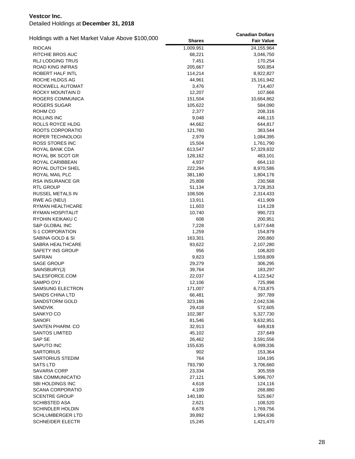| Holdings with a Net Market Value Above \$100,000 |                  | <b>Canadian Dollars</b> |
|--------------------------------------------------|------------------|-------------------------|
|                                                  | <b>Shares</b>    | <b>Fair Value</b>       |
| <b>RIOCAN</b>                                    | 1,009,951        | 24,155,964              |
| RITCHIE BROS AUC                                 | 68,221           | 3,046,750               |
| RLJ LODGING TRUS                                 | 7,451            | 170,254                 |
| ROAD KING INFRAS                                 | 205,667          | 500,854                 |
| ROBERT HALF INTL                                 | 114,214          | 8,922,827               |
| ROCHE HLDGS AG                                   | 44,961           | 15,161,942              |
| ROCKWELL AUTOMAT                                 | 3,476            | 714,407                 |
| ROCKY MOUNTAIN D                                 | 12,207           | 107,666                 |
| ROGERS COMMUNICA                                 | 151,504          | 10,664,862              |
| ROGERS SUGAR                                     | 105,622          | 584,090                 |
| ROHM CO                                          | 2,377            | 208,316                 |
| ROLLINS INC                                      | 9,048            | 446,115                 |
| ROLLS ROYCE HLDG                                 | 44,662           | 644,817                 |
| ROOTS CORPORATIO                                 | 121,760          | 383,544                 |
| ROPER TECHNOLOGI                                 | 2,979            | 1,084,395               |
| ROSS STORES INC                                  | 15,504           | 1,761,790               |
| ROYAL BANK CDA                                   | 613,547          | 57,329,832              |
| ROYAL BK SCOT GR                                 | 128,162          | 483,101                 |
| ROYAL CARIBBEAN                                  | 4,937            | 664,110                 |
| ROYAL DUTCH SHEL                                 | 222,294          | 8,970,586               |
| ROYAL MAIL PLC                                   | 381,180          | 1,804,176               |
| RSA INSURANCE GR                                 | 25,808           | 230,568                 |
| <b>RTL GROUP</b>                                 | 51,134           | 3,728,353               |
| RUSSEL METALS IN                                 | 108,506          | 2,314,433               |
| RWE AG (NEU)<br>RYMAN HEALTHCARE                 | 13,911<br>11,603 | 411,909                 |
| RYMAN HOSPITALIT                                 | 10,740           | 114,128<br>990,723      |
| RYOHIN KEIKAKU C                                 | 608              | 200,951                 |
| S&P GLOBAL INC                                   | 7,228            | 1,677,648               |
| S-1 CORPORATION                                  | 1,259            | 154,879                 |
| SABINA GOLD & SI                                 | 163,301          | 200,860                 |
| SABRA HEALTHCARE                                 | 93,622           | 2,107,280               |
| SAFETY INS GROUP                                 | 956              | 106,820                 |
| SAFRAN                                           | 9,823            | 1,559,809               |
| <b>SAGE GROUP</b>                                | 29,279           | 306,295                 |
| SAINSBURY(J)                                     | 39,764           | 183,297                 |
| SALESFORCE.COM                                   | 22,037           | 4,122,542               |
| SAMPO OYJ                                        | 12,106           | 725,998                 |
| SAMSUNG ELECTRON                                 | 171,007          | 6,733,875               |
| SANDS CHINA LTD                                  | 66,481           | 397,789                 |
| SANDSTORM GOLD                                   | 323,186          | 2,042,536               |
| SANDVIK                                          | 29,418           | 572,605                 |
| SANKYO CO                                        | 102,387          | 5,327,730               |
| SANOFI                                           | 81,546           | 9,632,951               |
| SANTEN PHARM. CO                                 | 32,913           | 649,818                 |
| SANTOS LIMITED                                   | 45,102           | 237,649                 |
| SAP SE                                           | 26,462           | 3,591,556               |
| SAPUTO INC                                       | 155,635          | 6,099,336               |
| <b>SARTORIUS</b>                                 | 902              | 153,364                 |
| SARTORIUS STEDIM                                 | 764              | 104,195                 |
| <b>SATS LTD</b>                                  | 793,790          | 3,706,660               |
| SAVARIA CORP                                     | 23,334           | 305,559                 |
| <b>SBA COMMUNICATIO</b>                          | 27,121           | 5,996,707               |
| SBI HOLDINGS INC                                 | 4,618            | 124,116                 |
| SCANA CORPORATIO                                 | 4,109            | 268,880                 |
| <b>SCENTRE GROUP</b>                             | 140,180          | 525,667                 |
| SCHIBSTED ASA                                    | 2,621            | 108,520                 |
| SCHINDLER HOLDIN                                 | 6,678            | 1,769,756               |
| SCHLUMBERGER LTD                                 | 39,892           | 1,994,636               |
| <b>SCHNEIDER ELECTR</b>                          | 15,245           | 1,421,470               |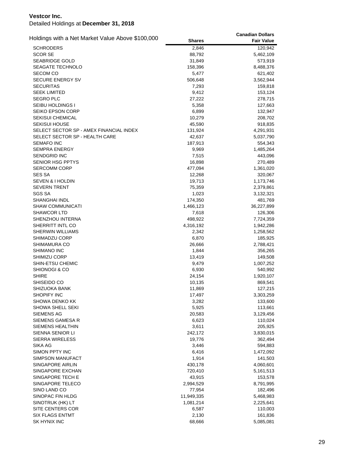|                                                  |               | <b>Canadian Dollars</b> |
|--------------------------------------------------|---------------|-------------------------|
| Holdings with a Net Market Value Above \$100,000 | <b>Shares</b> | <b>Fair Value</b>       |
| <b>SCHRODERS</b>                                 | 2,846         | 120,942                 |
| <b>SCOR SE</b>                                   | 88,792        | 5,462,109               |
| SEABRIDGE GOLD                                   | 31,849        | 573,919                 |
| <b>SEAGATE TECHNOLO</b>                          | 158,396       | 8,488,376               |
| SECOM CO                                         | 5,477         | 621,402                 |
| SECURE ENERGY SV                                 | 506,648       | 3,562,944               |
| SECURITAS                                        | 7,293         | 159,818                 |
| <b>SEEK LIMITED</b>                              | 9,412         | 153,124                 |
| <b>SEGRO PLC</b>                                 | 27,222        | 278,715                 |
| SEIBU HOLDINGS I                                 | 5,358         | 127,663                 |
| <b>SEIKO EPSON CORP</b>                          | 6,899         | 132,947                 |
| <b>SEKISUI CHEMICAL</b>                          | 10,279        | 208,702                 |
| <b>SEKISUI HOUSE</b>                             | 45,590        | 918,835                 |
| SELECT SECTOR SP - AMEX FINANCIAL INDEX          | 131,924       | 4,291,931               |
| SELECT SECTOR SP - HEALTH CARE                   | 42,637        | 5,037,790               |
| <b>SEMAFO INC</b>                                | 187,913       | 554,343                 |
| SEMPRA ENERGY                                    | 9,969         | 1,485,264               |
| <b>SENDGRID INC</b>                              | 7,515         | 443,096                 |
| SENIOR HSG PPTYS                                 | 16,898        | 270,489                 |
| <b>SERCOMM CORP</b>                              | 477,094       | 1,361,020               |
| <b>SES SA</b>                                    | 12,268        | 320,067                 |
| <b>SEVEN &amp; I HOLDIN</b>                      | 19,713        | 1,173,746               |
| <b>SEVERN TRENT</b>                              | 75,359        | 2,379,861               |
| SGS SA                                           | 1,023         | 3,132,321               |
| SHANGHAI INDL                                    | 174,350       | 481,769                 |
| SHAW COMMUNICATI                                 | 1,466,123     | 36,227,899              |
|                                                  |               |                         |
| <b>SHAWCOR LTD</b>                               | 7,618         | 126,306                 |
| SHENZHOU INTERNA                                 | 498,922       | 7,724,359               |
| SHERRITT INTL CO                                 | 4,316,192     | 1,942,286               |
| SHERWIN WILLIAMS                                 | 2,342         | 1,258,562               |
| SHIMADZU CORP                                    | 6,870         | 185,925                 |
| SHIMAMURA CO                                     | 26,666        | 2,788,421               |
| <b>SHIMANO INC</b>                               | 1,844         | 356,265                 |
| SHIMIZU CORP                                     | 13,419        | 149,508                 |
| SHIN-ETSU CHEMIC                                 | 9,479         | 1,007,252               |
| SHIONOGI & CO                                    | 6,930         | 540,992                 |
| SHIRE                                            | 24,154        | 1,920,107               |
| SHISEIDO CO                                      | 10,135        | 869,541                 |
| SHIZUOKA BANK                                    | 11,869        | 127,215                 |
| SHOPIFY INC                                      | 17,497        | 3,303,259               |
| SHOWA DENKO KK                                   | 3,282         | 133,600                 |
| SHOWA SHELL SEKI                                 | 5,925         | 113,661                 |
| SIEMENS AG                                       | 20,583        | 3,129,456               |
| SIEMENS GAMESA R                                 | 6,623         | 110,024                 |
| <b>SIEMENS HEALTHIN</b>                          | 3,611         | 205,925                 |
| SIENNA SENIOR LI                                 | 242,172       | 3,830,015               |
| SIERRA WIRELESS                                  | 19,776        | 362,494                 |
| SIKA AG                                          | 3,446         | 594,883                 |
| SIMON PPTY INC                                   | 6,416         | 1,472,092               |
| SIMPSON MANUFACT                                 | 1,914         | 141,503                 |
| SINGAPORE AIRLIN                                 | 430,178       | 4,060,601               |
| SINGAPORE EXCHAN                                 | 720,410       | 5,161,513               |
| SINGAPORE TECH E                                 | 43,915        | 153,578                 |
| SINGAPORE TELECO                                 | 2,994,529     | 8,791,995               |
| SINO LAND CO                                     | 77,954        | 182,496                 |
| SINOPAC FIN HLDG                                 | 11,949,335    | 5,468,983               |
| SINOTRUK (HK) LT                                 | 1,081,214     | 2,225,641               |
| SITE CENTERS COR                                 | 6,587         | 110,003                 |
| <b>SIX FLAGS ENTMT</b>                           | 2,130         | 161,836                 |
| SK HYNIX INC                                     | 68,666        | 5,085,081               |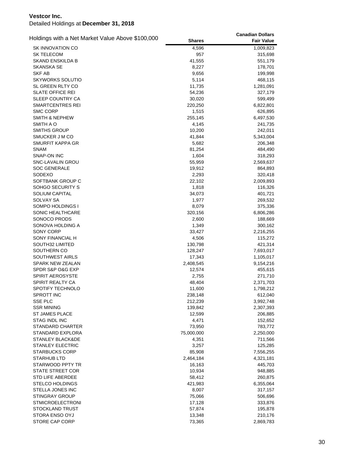| Holdings with a Net Market Value Above \$100,000 |                 | <b>Canadian Dollars</b> |
|--------------------------------------------------|-----------------|-------------------------|
|                                                  | <b>Shares</b>   | <b>Fair Value</b>       |
| <b>SK INNOVATION CO</b>                          | 4,596           | 1,009,823               |
| <b>SK TELECOM</b>                                | 957             | 315,698                 |
| SKAND ENSKILDA B                                 | 41,555          | 551,179                 |
| <b>SKANSKA SE</b>                                | 8,227           | 178,701                 |
| SKF AB                                           | 9,656           | 199,998                 |
| <b>SKYWORKS SOLUTIO</b>                          | 5,114           | 468,115                 |
| SL GREEN RLTY CO                                 | 11,735          | 1,281,091               |
| <b>SLATE OFFICE REI</b>                          | 54,236          | 327,179                 |
| SLEEP COUNTRY CA                                 | 30,020          | 599,499                 |
| <b>SMARTCENTRES REI</b>                          | 220,250         | 6,822,801               |
| <b>SMC CORP</b>                                  | 1,515           | 626,895                 |
| <b>SMITH &amp; NEPHEW</b>                        | 255,145         | 6,497,530               |
| SMITH A O                                        | 4,145           | 241,735                 |
| <b>SMITHS GROUP</b>                              | 10,200          | 242,011                 |
| SMUCKER J M CO                                   | 41,844          | 5,343,004               |
| SMURFIT KAPPA GR<br><b>SNAM</b>                  | 5,682           | 206,348                 |
| SNAP-ON INC                                      | 81,254<br>1,604 | 484,490<br>318,293      |
| SNC-LAVALIN GROU                                 | 55,959          | 2,569,637               |
| <b>SOC GENERALE</b>                              | 19,912          | 864,893                 |
| SODEXO                                           | 2,293           | 320,418                 |
| SOFTBANK GROUP C                                 | 22,102          | 2,009,893               |
| SOHGO SECURITY S                                 | 1,818           | 116,326                 |
| SOLIUM CAPITAL                                   | 34,073          | 401,721                 |
| <b>SOLVAY SA</b>                                 | 1,977           | 269,532                 |
| SOMPO HOLDINGS I                                 | 8,079           | 375,336                 |
| SONIC HEALTHCARE                                 | 320,156         | 6,806,286               |
| SONOCO PRODS                                     | 2,600           | 188,669                 |
| SONOVA HOLDING A                                 | 1,349           | 300,162                 |
| SONY CORP                                        | 33,427          | 2,216,255               |
| SONY FINANCIAL H                                 | 4,506           | 115,272                 |
| SOUTH32 LIMITED                                  | 130,798         | 421,314                 |
| SOUTHERN CO                                      | 128,247         | 7,693,017               |
| SOUTHWEST AIRLS                                  | 17,343          | 1,105,017               |
| SPARK NEW ZEALAN                                 | 2,408,545       | 9,154,216               |
| SPDR S&P O&G EXP                                 | 12,574          | 455,615                 |
| SPIRIT AEROSYSTE                                 | 2,755           | 271,710                 |
| <b>SPIRIT REALTY CA</b>                          | 48,404          | 2,371,703               |
| SPOTIFY TECHNOLO                                 | 11,600          | 1,798,212               |
| SPROTT INC                                       | 238,148         | 612,040                 |
| SSE PLC                                          | 212,239         | 3,992,748               |
| <b>SSR MINING</b>                                | 139,842         | 2,307,393               |
| <b>ST JAMES PLACE</b>                            | 12,599          | 206,885                 |
| STAG INDL INC<br><b>STANDARD CHARTER</b>         | 4,471<br>73,950 | 152,652<br>783,772      |
| STANDARD EXPLORA                                 | 75,000,000      | 2,250,000               |
| STANLEY BLACK&DE                                 | 4,351           | 711,566                 |
| <b>STANLEY ELECTRIC</b>                          | 3,257           | 125,285                 |
| <b>STARBUCKS CORP</b>                            | 85,908          | 7,556,255               |
| STARHUB LTD                                      | 2,464,184       | 4,321,181               |
| STARWOOD PPTY TR                                 | 16,163          | 445,703                 |
| STATE STREET COR                                 | 10,934          | 948,885                 |
| STD LIFE ABERDEE                                 | 58,412          | 260,875                 |
| <b>STELCO HOLDINGS</b>                           | 421,983         | 6,355,064               |
| STELLA JONES INC                                 | 8,007           | 317,157                 |
| <b>STINGRAY GROUP</b>                            | 75,066          | 506,696                 |
| <b>STMICROELECTRONI</b>                          | 17,128          | 333,876                 |
| STOCKLAND TRUST                                  | 57,874          | 195,878                 |
| STORA ENSO OYJ                                   | 13,348          | 210,176                 |
| STORE CAP CORP                                   | 73,365          | 2,869,783               |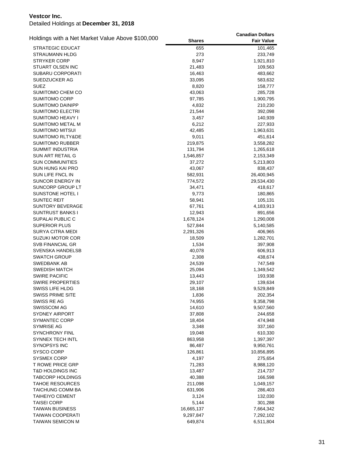| Holdings with a Net Market Value Above \$100,000 |               | <b>Canadian Dollars</b> |
|--------------------------------------------------|---------------|-------------------------|
|                                                  | <b>Shares</b> | <b>Fair Value</b>       |
| <b>STRATEGIC EDUCAT</b>                          | 655           | 101,465                 |
| STRAUMANN HLDG                                   | 273           | 233,749                 |
| <b>STRYKER CORP</b>                              | 8,947         | 1,921,810               |
| STUART OLSEN INC                                 | 21,483        | 109,563                 |
| SUBARU CORPORATI                                 | 16,463        | 483,662                 |
| SUEDZUCKER AG                                    | 33,095        | 583,632                 |
| SUEZ                                             | 8,820         | 158,777                 |
| SUMITOMO CHEM CO                                 | 43,063        | 285,728                 |
| SUMITOMO CORP                                    | 97,785        | 1,900,795               |
| SUMITOMO DAINIPP                                 | 4,832         | 210,230                 |
| <b>SUMITOMO ELECTRI</b>                          | 21,544        | 392,098                 |
| SUMITOMO HEAVY I                                 | 3,457         | 140,939                 |
| SUMITOMO METAL M                                 | 6,212         | 227,933                 |
| <b>SUMITOMO MITSUI</b>                           | 42,485        | 1,963,631               |
| <b>SUMITOMO RLTY&amp;DE</b>                      | 9,011         | 451,614                 |
| SUMITOMO RUBBER                                  | 219,875       | 3,558,282               |
| SUMMIT INDUSTRIA                                 | 131,794       | 1,265,618               |
| SUN ART RETAIL G                                 | 1,546,857     | 2,153,349               |
| <b>SUN COMMUNITIES</b>                           | 37,272        | 5,213,803               |
| SUN HUNG KAI PRO                                 | 43,067        | 838,437                 |
| SUN LIFE FNCL IN                                 | 582,931       | 26,400,945              |
| SUNCOR ENERGY IN                                 | 774,572       | 29,534,430              |
| SUNCORP GROUP LT                                 | 34,471        | 418,617                 |
| SUNSTONE HOTEL I                                 | 9,773         | 180,865                 |
| SUNTEC REIT                                      | 58,941        | 105,131                 |
| <b>SUNTORY BEVERAGE</b>                          | 67,761        | 4,183,913               |
| SUNTRUST BANKS I                                 | 12,943        | 891,656                 |
| SUPALAI PUBLIC C                                 | 1,678,124     | 1,290,008               |
| <b>SUPERIOR PLUS</b>                             | 527,844       | 5,140,585               |
| SURYA CITRA MEDI                                 | 2,291,326     | 406,965                 |
| SUZUKI MOTOR COR                                 | 18,509        | 1,282,701               |
| <b>SVB FINANCIAL GR</b>                          | 1,534         | 397,908                 |
| SVENSKA HANDELSB                                 | 40,078        | 606,913                 |
| SWATCH GROUP                                     | 2,308         | 438,674                 |
| SWEDBANK AB                                      | 24,539        | 747,549                 |
| <b>SWEDISH MATCH</b>                             | 25,094        | 1,349,542               |
| <b>SWIRE PACIFIC</b>                             | 13,443        | 193,938                 |
| SWIRE PROPERTIES                                 | 29,107        | 139,634                 |
| <b>SWISS LIFE HLDG</b>                           | 18,168        | 9,529,849               |
| <b>SWISS PRIME SITE</b>                          | 1,836         | 202,354                 |
| SWISS RE AG                                      | 74,955        | 9,358,798               |
| <b>SWISSCOM AG</b>                               | 14,610        | 9,507,560               |
| SYDNEY AIRPORT                                   | 37,808        | 244,658                 |
| SYMANTEC CORP                                    | 18,404        | 474,948                 |
| SYMRISE AG                                       | 3,348         | 337,160                 |
| SYNCHRONY FINL                                   | 19,048        | 610,330                 |
| SYNNEX TECH INTL                                 | 863,958       | 1,397,397               |
| <b>SYNOPSYS INC</b>                              | 86,487        | 9,950,761               |
| <b>SYSCO CORP</b>                                | 126,861       | 10,856,895              |
| <b>SYSMEX CORP</b>                               | 4,197         | 275,654                 |
| <b>T ROWE PRICE GRP</b>                          | 71,283        | 8,988,120               |
| T&D HOLDINGS INC                                 | 13,487        | 214,737                 |
| <b>TABCORP HOLDINGS</b>                          | 40,388        | 166,598                 |
| <b>TAHOE RESOURCES</b>                           | 211,098       | 1,049,157               |
| TAICHUNG COMM BA                                 | 631,906       | 286,403                 |
| <b>TAIHEIYO CEMENT</b>                           | 3,124         | 132,030                 |
| <b>TAISEI CORP</b>                               | 5,144         | 301,288                 |
| <b>TAIWAN BUSINESS</b>                           | 16,665,137    | 7,664,342               |
| <b>TAIWAN COOPERATI</b>                          | 9,297,847     | 7,292,102               |
| <b>TAIWAN SEMICON M</b>                          | 649,874       | 6,511,804               |
|                                                  |               |                         |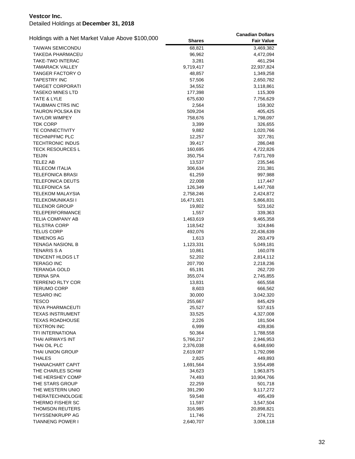|                                                  |               | <b>Canadian Dollars</b> |
|--------------------------------------------------|---------------|-------------------------|
| Holdings with a Net Market Value Above \$100,000 | <b>Shares</b> | <b>Fair Value</b>       |
| <b>TAIWAN SEMICONDU</b>                          | 68,821        | 3,469,382               |
| TAKEDA PHARMACEU                                 | 96,962        | 4,472,094               |
| TAKE-TWO INTERAC                                 | 3,281         | 461,294                 |
| <b>TAMARACK VALLEY</b>                           | 9,719,417     | 22,937,824              |
| TANGER FACTORY O                                 | 48,857        | 1,349,258               |
| <b>TAPESTRY INC</b>                              | 57,506        | 2,650,782               |
| <b>TARGET CORPORATI</b>                          | 34,552        | 3,118,861               |
| <b>TASEKO MINES LTD</b>                          | 177,398       | 115,309                 |
| TATE & LYLE                                      | 675,630       | 7,756,629               |
| TAUBMAN CTRS INC                                 | 2,564         | 159,302                 |
| TAURON POLSKA EN                                 | 509,204       | 405,425                 |
| <b>TAYLOR WIMPEY</b>                             | 758,676       | 1,798,097               |
| <b>TDK CORP</b>                                  | 3,399         | 326,655                 |
| TE CONNECTIVITY                                  | 9,882         | 1,020,766               |
| <b>TECHNIPFMC PLC</b>                            | 12,257        | 327,781                 |
| <b>TECHTRONIC INDUS</b>                          |               |                         |
|                                                  | 39,417        | 286,048                 |
| <b>TECK RESOURCES L</b>                          | 160,695       | 4,722,826               |
| <b>TEIJIN</b>                                    | 350,754       | 7,671,769               |
| TELE2 AB                                         | 13,537        | 235,546                 |
| <b>TELECOM ITALIA</b>                            | 306,634       | 231,381                 |
| <b>TELEFONICA BRASI</b>                          | 61,259        | 997,988                 |
| <b>TELEFONICA DEUTS</b>                          | 22,008        | 117,447                 |
| <b>TELEFONICA SA</b>                             | 126,349       | 1,447,768               |
| <b>TELEKOM MALAYSIA</b>                          | 2,758,246     | 2,424,872               |
| <b>TELEKOMUNIKASI I</b>                          | 16,471,921    | 5,866,831               |
| <b>TELENOR GROUP</b>                             | 19,802        | 523,162                 |
| <b>TELEPERFORMANCE</b>                           | 1,557         | 339,363                 |
| <b>TELIA COMPANY AB</b>                          | 1,463,619     | 9,465,358               |
| <b>TELSTRA CORP</b>                              | 118,542       | 324,846                 |
| <b>TELUS CORP</b>                                | 492,076       | 22,436,639              |
| <b>TEMENOS AG</b>                                | 1,613         | 263,479                 |
| <b>TENAGA NASIONL B</b>                          | 1,123,331     | 5,049,181               |
| <b>TENARIS S A</b>                               | 10,861        | 160,078                 |
| TENCENT HLDGS LT                                 | 52,202        | 2,814,112               |
| <b>TERAGO INC</b>                                | 207,700       | 2,218,236               |
| <b>TERANGA GOLD</b>                              | 65,191        | 262,720                 |
| <b>TERNA SPA</b>                                 | 355,074       | 2,745,855               |
| <b>TERRENO RLTY COR</b>                          | 13,831        | 665,558                 |
| <b>TERUMO CORP</b>                               | 8,603         | 666,562                 |
| <b>TESARO INC</b>                                | 30,000        | 3,042,320               |
| <b>TESCO</b>                                     | 255,667       | 845,429                 |
| <b>TEVA PHARMACEUTI</b>                          | 25,527        | 537,615                 |
| <b>TEXAS INSTRUMENT</b>                          | 33,525        | 4,327,008               |
|                                                  |               |                         |
| <b>TEXAS ROADHOUSE</b>                           | 2,226         | 181,504                 |
| <b>TEXTRON INC</b>                               | 6,999         | 439,836                 |
| <b>TFI INTERNATIONA</b>                          | 50,364        | 1,788,558               |
| THAI AIRWAYS INT                                 | 5,766,217     | 2,946,953               |
| THAI OIL PLC                                     | 2,376,038     | 6,648,690               |
| THAI UNION GROUP                                 | 2,619,087     | 1,792,098               |
| <b>THALES</b>                                    | 2,825         | 449,893                 |
| THANACHART CAPIT                                 | 1,691,564     | 3,554,498               |
| THE CHARLES SCHW                                 | 34,623        | 1,963,875               |
| THE HERSHEY COMP                                 | 74,493        | 10,904,766              |
| THE STARS GROUP                                  | 22,259        | 501,718                 |
| THE WESTERN UNIO                                 | 391,290       | 9,117,272               |
| <b>THERATECHNOLOGIE</b>                          | 59,548        | 495,439                 |
| THERMO FISHER SC                                 | 11,597        | 3,547,504               |
| <b>THOMSON REUTERS</b>                           | 316,985       | 20,898,821              |
| THYSSENKRUPP AG                                  | 11,746        | 274,721                 |
| <b>TIANNENG POWER I</b>                          | 2,640,707     | 3,008,118               |
|                                                  |               |                         |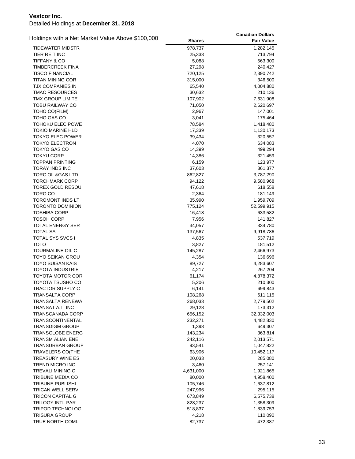|                                                  |               | <b>Canadian Dollars</b> |
|--------------------------------------------------|---------------|-------------------------|
| Holdings with a Net Market Value Above \$100,000 | <b>Shares</b> | <b>Fair Value</b>       |
| TIDEWATER MIDSTR                                 | 978,737       | 1,282,145               |
| TIER REIT INC                                    | 25,333        | 713,794                 |
| <b>TIFFANY &amp; CO</b>                          | 5,088         | 563,300                 |
| <b>TIMBERCREEK FINA</b>                          | 27,298        | 240,427                 |
| <b>TISCO FINANCIAL</b>                           | 720,125       | 2,390,742               |
| TITAN MINING COR                                 | 315,000       | 346,500                 |
| TJX COMPANIES IN                                 | 65,540        | 4,004,880               |
| <b>TMAC RESOURCES</b>                            | 30,632        | 210,136                 |
| TMX GROUP LIMITE                                 | 107,902       | 7,631,908               |
| <b>TOBU RAILWAY CO</b>                           | 71,050        | 2,620,697               |
| TOHO CO(FILM)                                    | 2,967         | 147,001                 |
| TOHO GAS CO                                      | 3,041         | 175,464                 |
| TOHOKU ELEC POWE                                 | 78,584        | 1,418,480               |
| <b>TOKIO MARINE HLD</b>                          | 17,339        | 1,130,173               |
| <b>TOKYO ELEC POWER</b>                          | 39,434        | 320,557                 |
| <b>TOKYO ELECTRON</b>                            | 4,070         | 634,083                 |
| <b>TOKYO GAS CO</b>                              | 14,399        | 499,294                 |
| <b>TOKYU CORP</b>                                | 14,386        | 321,459                 |
| <b>TOPPAN PRINTING</b>                           | 6,159         | 123,977                 |
| <b>TORAY INDS INC</b>                            | 37,603        | 361,377                 |
| <b>TORC OIL&amp;GAS LTD</b>                      | 862,827       | 3,787,290               |
| <b>TORCHMARK CORP</b>                            | 94,122        | 9,580,968               |
| TOREX GOLD RESOU                                 | 47,618        | 618,558                 |
| TORO CO                                          | 2,364         | 181,149                 |
| TOROMONT INDS LT                                 | 35,990        | 1,959,709               |
| <b>TORONTO DOMINION</b>                          | 775,124       | 52,599,915              |
| <b>TOSHIBA CORP</b>                              | 16,418        | 633,582                 |
| <b>TOSOH CORP</b>                                | 7,956         | 141,827                 |
| TOTAL ENERGY SER                                 | 34,057        | 334,780                 |
| <b>TOTAL SA</b>                                  | 137,567       | 9,918,786               |
| TOTAL SYS SVCS I                                 | 4,835         | 537,719                 |
| тото                                             | 3,827         | 181,512                 |
| TOURMALINE OIL C                                 | 145,287       | 2,466,973               |
| TOYO SEIKAN GROU                                 | 4,354         | 136,696                 |
| TOYO SUISAN KAIS                                 | 89,727        | 4,283,607               |
| <b>TOYOTA INDUSTRIE</b>                          | 4,217         | 267,204                 |
| <b>TOYOTA MOTOR COR</b>                          | 61,174        | 4,878,372               |
| TOYOTA TSUSHO CO                                 | 5,206         | 210,300                 |
| <b>TRACTOR SUPPLY C</b>                          | 6,141         | 699,843                 |
| TRANSALTA CORP                                   | 108,268       | 611,115                 |
| TRANSALTA RENEWA                                 | 268,033       | 2,779,502               |
| TRANSAT A.T. INC                                 | 29,128        | 173,312                 |
| TRANSCANADA CORP                                 | 656,152       | 32,332,003              |
| <b>TRANSCONTINENTAL</b>                          | 232,271       | 4,482,830               |
| <b>TRANSDIGM GROUP</b>                           | 1,398         | 649,307                 |
| <b>TRANSGLOBE ENERG</b>                          | 143,234       | 363,814                 |
| <b>TRANSM ALIAN ENE</b>                          | 242,116       | 2,013,571               |
| <b>TRANSURBAN GROUP</b>                          | 93,541        | 1,047,822               |
| <b>TRAVELERS CO(THE</b>                          | 63,906        | 10,452,117              |
| <b>TREASURY WINE ES</b>                          | 20,033        | 285,080                 |
| <b>TREND MICRO INC</b>                           | 3,460         | 257,141                 |
| TREVALI MINING C                                 | 4,631,000     | 1,921,865               |
| TRIBUNE MEDIA CO                                 | 80,000        | 4,958,400               |
| TRIBUNE PUBLISHI                                 | 105,746       | 1,637,812               |
| <b>TRICAN WELL SERV</b>                          | 247,996       | 295,115                 |
| TRICON CAPITAL G                                 | 673,849       | 6,575,738               |
| TRILOGY INTL PAR                                 | 828,237       | 1,358,309               |
| <b>TRIPOD TECHNOLOG</b>                          | 518,837       | 1,839,753               |
| <b>TRISURA GROUP</b>                             | 4,218         | 110,090                 |
| TRUE NORTH COML                                  | 82,737        | 472,387                 |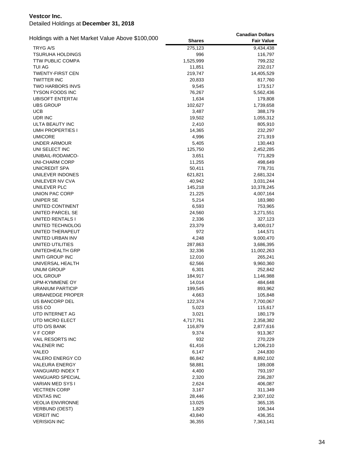| Holdings with a Net Market Value Above \$100,000 |               | <b>Canadian Dollars</b> |
|--------------------------------------------------|---------------|-------------------------|
|                                                  | <b>Shares</b> | <b>Fair Value</b>       |
| <b>TRYG A/S</b>                                  | 275,123       | 9,434,438               |
| <b>TSURUHA HOLDINGS</b>                          | 996           | 116,797                 |
| <b>TTW PUBLIC COMPA</b>                          | 1,525,999     | 799,232                 |
| TUI AG                                           | 11,851        | 232,017                 |
| <b>TWENTY-FIRST CEN</b>                          | 219,747       | 14,405,529              |
| <b>TWITTER INC</b>                               | 20,833        | 817,760                 |
| <b>TWO HARBORS INVS</b>                          | 9,545         | 173,517                 |
| <b>TYSON FOODS INC</b>                           | 76,267        | 5,562,436               |
| UBISOFT ENTERTAI                                 | 1,634         | 179,808                 |
| <b>UBS GROUP</b>                                 | 102,627       | 1,739,658               |
| <b>UCB</b>                                       | 3,487         | 388,179                 |
| UDR INC                                          | 19,502        | 1,055,312               |
| ULTA BEAUTY INC                                  | 2,410         | 805,910                 |
| <b>UMH PROPERTIES I</b>                          | 14,365        | 232,297                 |
| <b>UMICORE</b>                                   | 4,996         | 271,919                 |
| UNDER ARMOUR                                     | 5,405         | 130,443                 |
| UNI SELECT INC                                   | 125,750       | 2,452,285               |
| UNIBAIL-RODAMCO-                                 | 3,651         | 771,829                 |
| <b>UNI-CHARM CORP</b>                            | 11,255        | 498,649                 |
| UNICREDIT SPA                                    | 50,411        | 778,731                 |
| UNILEVER INDONES                                 | 621,821       | 2,681,324               |
| UNILEVER NV CVA                                  | 40,942        | 3,031,244               |
| UNILEVER PLC                                     | 145,218       | 10,378,245              |
| UNION PAC CORP                                   | 21,225        | 4,007,164               |
| UNIPER SE                                        | 5,214         | 183,980                 |
| UNITED CONTINENT                                 | 6,593         | 753,965                 |
| UNITED PARCEL SE                                 | 24,560        | 3,271,551               |
| UNITED RENTALS I                                 | 2,336         | 327,123                 |
| UNITED TECHNOLOG                                 | 23,379        | 3,400,017               |
| UNITED THERAPEUT                                 | 972           | 144,571                 |
| UNITED URBAN INV                                 | 4,248         | 9,000,470               |
| UNITED UTILITIES                                 | 287,863       | 3,686,395               |
| UNITEDHEALTH GRP                                 | 32,336        | 11,002,263              |
| UNITI GROUP INC                                  | 12,010        | 265,241                 |
| UNIVERSAL HEALTH                                 | 62,566        | 9,960,360               |
| <b>UNUM GROUP</b>                                | 6,301         | 252,842                 |
| <b>UOL GROUP</b>                                 | 184,917       | 1,146,988               |
| <b>UPM-KYMMENE OY</b>                            | 14,014        | 484,648                 |
| <b>URANIUM PARTICIP</b>                          | 199,545       | 893,962                 |
| <b>URBANEDGE PROPER</b>                          | 4,663         | 105,848                 |
| US BANCORP DEL                                   | 122,374       | 7,700,067               |
| USS CO                                           | 5,023         | 115,617                 |
| UTD INTERNET AG                                  | 3,021         | 180,179                 |
| UTD MICRO ELECT                                  | 4,717,761     | 2,358,382               |
| UTD O/S BANK                                     | 116,879       | 2,877,616               |
| V F CORP                                         | 9,374         | 913,367                 |
| <b>VAIL RESORTS INC</b>                          | 932           | 270,229                 |
| <b>VALENER INC</b>                               | 61,416        | 1,206,210               |
| <b>VALEO</b>                                     | 6,147         | 244,830                 |
| <b>VALERO ENERGY CO</b>                          | 86,842        | 8,892,102               |
| <b>VALEURA ENERGY</b>                            | 58,881        | 189,008                 |
| VANGUARD INDEX T                                 | 4,400         | 793,197                 |
| <b>VANGUARD SPECIAL</b>                          | 2,320         | 236,287                 |
| VARIAN MED SYS I                                 | 2,624         | 406,087                 |
| <b>VECTREN CORP</b>                              | 3,167         | 311,349                 |
| <b>VENTAS INC</b>                                | 28,446        | 2,307,102               |
| <b>VEOLIA ENVIRONNE</b>                          | 13,025        | 365,135                 |
| <b>VERBUND (OEST)</b>                            | 1,829         | 106,344                 |
| <b>VEREIT INC</b>                                | 43,840        | 436,351                 |
| <b>VERISIGN INC</b>                              | 36,355        | 7,363,141               |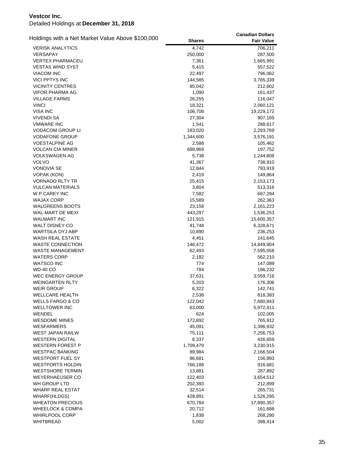| Holdings with a Net Market Value Above \$100,000 |                  | <b>Canadian Dollars</b> |
|--------------------------------------------------|------------------|-------------------------|
|                                                  | <b>Shares</b>    | <b>Fair Value</b>       |
| <b>VERISK ANALYTICS</b>                          | 4,742            | 706,211                 |
| VERSAPAY                                         | 250,000          | 287,500                 |
| <b>VERTEX PHARMACEU</b>                          | 7,361            | 1,665,991               |
| <b>VESTAS WIND SYST</b>                          | 5,415            | 557,522                 |
| <b>VIACOM INC</b>                                | 22,497           | 796,062                 |
| VICI PPTYS INC                                   | 144,585          | 3,765,339               |
| <b>VICINITY CENTRES</b>                          | 85,042           | 212,602                 |
| VIFOR PHARMA AG                                  | 1,090            | 161,437                 |
| <b>VILLAGE FARMS</b>                             | 26,255           | 116,047                 |
| <b>VINCI</b>                                     | 18,321           | 2,060,121               |
| <b>VISA INC</b>                                  | 106,708          | 19,229,172              |
| VIVENDI SA                                       | 27,304           | 907,169                 |
| <b>VMWARE INC</b>                                | 1,541            | 288,617                 |
| <b>VODACOM GROUP LI</b>                          | 183,020          | 2,293,769               |
| <b>VODAFONE GROUP</b>                            | 1,344,600        | 3,576,191               |
| <b>VOESTALPINE AG</b>                            | 2,588            | 105,462                 |
| VOLCAN CIA MINER                                 | 688,969          | 197,752                 |
| VOLKSWAGEN AG                                    | 5,738            | 1,244,808               |
| VOLVO                                            | 41,367           | 738,910                 |
| <b>VONOVIA SE</b>                                | 12,844           | 793,919                 |
| VOPAK (KON)                                      | 2,419            | 149,864                 |
| VORNADO RLTY TR                                  | 25,415           | 2,153,173               |
| VULCAN MATERIALS                                 | 3,804            | 513,316                 |
| W.P CAREY INC                                    | 7,582            | 687,294                 |
| <b>WAJAX CORP</b>                                | 15,589           | 262,363                 |
| <b>WALGREENS BOOTS</b>                           | 23,158           | 2,161,223               |
| WAL-MART DE MEXI                                 | 443,297          | 1,536,253               |
| <b>WALMART INC</b><br>WALT DISNEY CO             | 121,915          | 15,600,357              |
| WARTSILA OYJ ABP                                 | 41,748<br>10,890 | 6,328,671<br>236,253    |
| WASH REAL ESTATE                                 | 4,451            | 141,645                 |
| <b>WASTE CONNECTION</b>                          | 146,472          | 14,849,904              |
| WASTE MANAGEMENT                                 | 62,493           | 7,595,558               |
| <b>WATERS CORP</b>                               | 2,182            | 562,210                 |
| <b>WATSCO INC</b>                                | 774              | 147,089                 |
| <b>WD-40 CO</b>                                  | 784              | 196,232                 |
| <b>WEC ENERGY GROUP</b>                          | 37,631           | 3,559,716               |
| <b>WEINGARTEN RLTY</b>                           | 5,203            | 176,306                 |
| <b>WEIR GROUP</b>                                | 6,322            | 142,741                 |
| WELLCARE HEALTH                                  | 2,538            | 818,383                 |
| <b>WELLS FARGO &amp; CO</b>                      | 122,042          | 7,680,843               |
| <b>WELLTOWER INC</b>                             | 63,000           | 5,972,411               |
| WENDEL                                           | 624              | 102,005                 |
| <b>WESDOME MINES</b>                             | 172,892          | 765,912                 |
| <b>WESFARMERS</b>                                | 45,091           | 1,396,932               |
| <b>WEST JAPAN RAILW</b>                          | 75,111           | 7,256,753               |
| <b>WESTERN DIGITAL</b>                           | 8,337            | 426,659                 |
| <b>WESTERN FOREST P</b>                          | 1,709,479        | 3,230,915               |
| <b>WESTPAC BANKING</b>                           | 89,984           | 2,166,504               |
| WESTPORT FUEL SY                                 | 86,681           | 156,893                 |
| <b>WESTPORTS HOLDIN</b>                          | 766,188          | 916,681                 |
| <b>WESTSHORE TERMIN</b>                          | 13,881           | 287,892                 |
| <b>WEYERHAEUSER CO</b>                           | 122,403          | 3,654,512               |
| WH GROUP LTD                                     | 202,393          | 212,899                 |
| <b>WHARF REAL ESTAT</b>                          | 32,514           | 265,731                 |
| WHARF(HLDGS)                                     | 428,891          | 1,526,295               |
| <b>WHEATON PRECIOUS</b>                          | 670,784          | 17,890,357              |
| WHEELOCK & COMPA                                 | 20,712           | 161,688                 |
| <b>WHIRLPOOL CORP</b>                            | 1,838            | 268,280                 |
| <b>WHITBREAD</b>                                 | 5,002            | 398,414                 |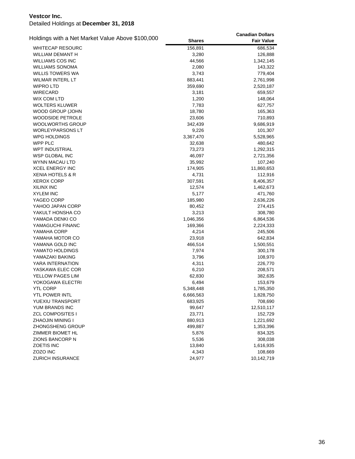|                                                  |               | <b>Canadian Dollars</b> |
|--------------------------------------------------|---------------|-------------------------|
| Holdings with a Net Market Value Above \$100,000 | <b>Shares</b> | <b>Fair Value</b>       |
| <b>WHITECAP RESOURC</b>                          | 156,891       | 686,534                 |
| WILLIAM DEMANT H                                 | 3,280         | 126,888                 |
| <b>WILLIAMS COS INC</b>                          | 44,566        | 1,342,145               |
| <b>WILLIAMS SONOMA</b>                           | 2,080         | 143,322                 |
| WILLIS TOWERS WA                                 | 3,743         | 779,404                 |
| WILMAR INTERL LT                                 | 883,441       | 2,761,998               |
| <b>WIPRO LTD</b>                                 | 359,690       | 2,520,187               |
| WIRECARD                                         | 3,181         | 659,557                 |
| <b>WIX COM LTD</b>                               | 1,200         | 148,064                 |
| <b>WOLTERS KLUWER</b>                            | 7,783         | 627,757                 |
| WOOD GROUP (JOHN                                 | 18,780        | 165,363                 |
| <b>WOODSIDE PETROLE</b>                          | 23,606        | 710,893                 |
| <b>WOOLWORTHS GROUP</b>                          | 342,439       | 9,686,919               |
| <b>WORLEYPARSONS LT</b>                          | 9,226         | 101,307                 |
| <b>WPG HOLDINGS</b>                              | 3,367,470     | 5,528,965               |
| WPP PLC                                          | 32,638        | 480,642                 |
| <b>WPT INDUSTRIAL</b>                            | 73,273        | 1,292,315               |
| WSP GLOBAL INC                                   | 46,097        | 2,721,356               |
| <b>WYNN MACAU LTD</b>                            | 35,992        | 107,240                 |
| <b>XCEL ENERGY INC</b>                           | 174,905       | 11,860,653              |
| <b>XENIA HOTELS &amp; R</b>                      | 4,731         | 112,916                 |
| <b>XEROX CORP</b>                                | 307,591       | 8,406,357               |
| <b>XILINX INC</b>                                | 12,574        | 1,462,673               |
| <b>XYLEM INC</b>                                 | 5,177         | 471,760                 |
| YAGEO CORP                                       | 185,980       | 2,636,226               |
| YAHOO JAPAN CORP                                 | 80,452        | 274,415                 |
| YAKULT HONSHA CO                                 | 3,213         | 308,780                 |
| YAMADA DENKI CO                                  | 1,046,356     | 6,864,536               |
| YAMAGUCHI FINANC                                 | 169,366       | 2,224,333               |
| YAMAHA CORP                                      | 4,214         | 245,506                 |
| YAMAHA MOTOR CO                                  | 23,918        | 642,834                 |
| YAMANA GOLD INC                                  | 466,514       | 1,500,551               |
| YAMATO HOLDINGS                                  | 7,974         | 300,178                 |
| YAMAZAKI BAKING                                  | 3,796         | 108,970                 |
| YARA INTERNATION                                 | 4,311         | 226,770                 |
| YASKAWA ELEC COR                                 | 6,210         | 208,571                 |
| YELLOW PAGES LIM                                 | 62,830        | 382,635                 |
| YOKOGAWA ELECTRI                                 | 6,494         | 153,679                 |
| <b>YTL CORP</b>                                  | 5,348,448     | 1,785,350               |
| YTL POWER INTL                                   | 6,666,563     | 1,828,750               |
| YUEXIU TRANSPORT                                 | 683,925       | 708,690                 |
| YUM BRANDS INC                                   | 99,647        | 12,510,117              |
| <b>ZCL COMPOSITES I</b>                          | 23,771        | 152,729                 |
| ZHAOJIN MINING I                                 | 880,913       | 1,221,692               |
| <b>ZHONGSHENG GROUP</b>                          | 499,887       | 1,353,396               |
| ZIMMER BIOMET HL                                 | 5,876         | 834,325                 |
| <b>ZIONS BANCORP N</b>                           | 5,536         | 308,038                 |
| <b>ZOETIS INC</b>                                | 13,840        | 1,616,935               |
| ZOZO INC                                         | 4,343         | 108,669                 |
| ZURICH INSURANCE                                 | 24,977        | 10,142,719              |
|                                                  |               |                         |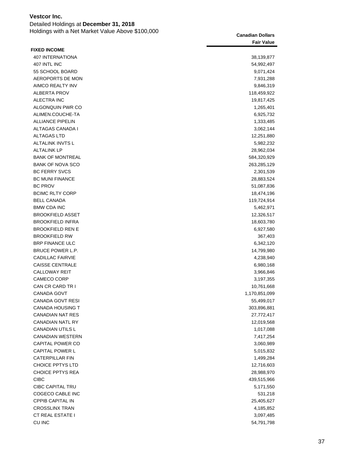Detailed Holdings at **December 31, 2018** Holdings with a Net Market Value Above \$100,000 **Canadian Dollars**

|                         | Ganduldii Dollais |
|-------------------------|-------------------|
|                         | <b>Fair Value</b> |
| <b>FIXED INCOME</b>     |                   |
| 407 INTERNATIONA        | 38,139,877        |
| 407 INTL INC            | 54,992,497        |
| 55 SCHOOL BOARD         | 9,071,424         |
| AEROPORTS DE MON        | 7,931,288         |
| AIMCO REALTY INV        | 9,846,319         |
| <b>ALBERTA PROV</b>     | 118,459,922       |
| <b>ALECTRA INC</b>      | 19,817,425        |
| ALGONQUIN PWR CO        | 1,265,401         |
| ALIMEN.COUCHE-TA        | 6,925,732         |
| <b>ALLIANCE PIPELIN</b> | 1,333,485         |
| ALTAGAS CANADA I        | 3,062,144         |
| <b>ALTAGAS LTD</b>      | 12,251,880        |
| ALTALINK INVTS L        | 5,982,232         |
| <b>ALTALINK LP</b>      | 28,962,034        |
| <b>BANK OF MONTREAL</b> | 584,320,929       |
| <b>BANK OF NOVA SCO</b> | 263,285,129       |
| <b>BC FERRY SVCS</b>    | 2,301,539         |
| <b>BC MUNI FINANCE</b>  | 28,883,524        |
| <b>BC PROV</b>          | 51,087,836        |
| <b>BCIMC RLTY CORP</b>  | 18,474,196        |
| <b>BELL CANADA</b>      | 119,724,914       |
| <b>BMW CDA INC</b>      | 5,462,971         |
| <b>BROOKFIELD ASSET</b> | 12,326,517        |
| <b>BROOKFIELD INFRA</b> | 18,603,780        |
| <b>BROOKFIELD REN E</b> | 6,927,580         |
| <b>BROOKFIELD RW</b>    | 367,403           |
| <b>BRP FINANCE ULC</b>  | 6,342,120         |
| BRUCE POWER L.P.        | 14,799,980        |
| <b>CADILLAC FAIRVIE</b> | 4,238,940         |
| <b>CAISSE CENTRALE</b>  | 6,980,168         |
| <b>CALLOWAY REIT</b>    | 3,966,846         |
| CAMECO CORP             | 3,197,355         |
| CAN CR CARD TR I        | 10,761,668        |
| <b>CANADA GOVT</b>      | 1,170,851,099     |
| CANADA GOVT RESI        | 55,499,017        |
| <b>CANADA HOUSING T</b> | 303,896,881       |
| <b>CANADIAN NAT RES</b> | 27,772,417        |
| <b>CANADIAN NATL RY</b> | 12,019,568        |
| <b>CANADIAN UTILS L</b> | 1,017,088         |
| <b>CANADIAN WESTERN</b> | 7,417,254         |
| CAPITAL POWER CO        | 3,060,989         |
| <b>CAPITAL POWER L</b>  | 5,015,832         |
| CATERPILLAR FIN         | 1,499,284         |
| <b>CHOICE PPTYS LTD</b> | 12,716,603        |
| <b>CHOICE PPTYS REA</b> | 28,988,970        |
| <b>CIBC</b>             | 439,515,966       |
| <b>CIBC CAPITAL TRU</b> | 5,171,550         |
| COGECO CABLE INC        | 531,218           |
| <b>CPPIB CAPITAL IN</b> | 25,405,627        |
| <b>CROSSLINX TRAN</b>   | 4,185,852         |
| <b>CT REAL ESTATE I</b> | 3,097,485         |
| CU INC                  | 54,791,798        |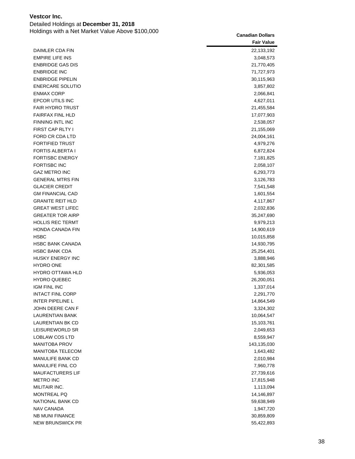Detailed Holdings at **December 31, 2018** Holdings with a Net Market Value Above \$100,000 **Canadian Dollars** Canadian Dollars

|                         | <b>Fair Value</b> |
|-------------------------|-------------------|
| DAIMLER CDA FIN         | 22,133,192        |
| <b>EMPIRE LIFE INS</b>  | 3,048,573         |
| <b>ENBRIDGE GAS DIS</b> | 21,770,405        |
| <b>ENBRIDGE INC</b>     | 71,727,973        |
| <b>ENBRIDGE PIPELIN</b> | 30,115,963        |
| ENERCARE SOLUTIO        | 3,857,802         |
| <b>ENMAX CORP</b>       | 2,066,841         |
| <b>EPCOR UTILS INC</b>  | 4,627,011         |
| <b>FAIR HYDRO TRUST</b> | 21,455,584        |
| <b>FAIRFAX FINL HLD</b> | 17,077,903        |
| FINNING INTL INC        | 2,538,057         |
| FIRST CAP RLTY I        | 21,155,069        |
| FORD CR CDA LTD         | 24,004,161        |
| <b>FORTIFIED TRUST</b>  | 4,979,276         |
| <b>FORTIS ALBERTA I</b> | 6,872,824         |
| <b>FORTISBC ENERGY</b>  | 7,181,825         |
| <b>FORTISBC INC</b>     | 2,058,107         |
| <b>GAZ METRO INC</b>    | 6,293,773         |
| <b>GENERAL MTRS FIN</b> | 3,126,783         |
| <b>GLACIER CREDIT</b>   | 7,541,548         |
| <b>GM FINANCIAL CAD</b> | 1,601,554         |
| <b>GRANITE REIT HLD</b> | 4,117,867         |
| <b>GREAT WEST LIFEC</b> | 2,032,836         |
| <b>GREATER TOR AIRP</b> | 35,247,690        |
| <b>HOLLIS REC TERMT</b> | 9,979,213         |
| HONDA CANADA FIN        | 14,900,619        |
| HSBC                    | 10,015,858        |
| <b>HSBC BANK CANADA</b> | 14,930,795        |
| <b>HSBC BANK CDA</b>    | 25,254,401        |
| HUSKY ENERGY INC        | 3,888,946         |
| <b>HYDRO ONE</b>        | 82,301,585        |
| <b>HYDRO OTTAWA HLD</b> | 5,936,053         |
| <b>HYDRO QUEBEC</b>     | 26,200,051        |
| <b>IGM FINL INC</b>     | 1,337,014         |
| <b>INTACT FINL CORP</b> | 2,291,770         |
| <b>INTER PIPELINE L</b> | 14,864,549        |
| JOHN DEERE CAN F        | 3,324,302         |
| <b>LAURENTIAN BANK</b>  | 10,064,547        |
| LAURENTIAN BK CD        | 15,103,761        |
| LEISUREWORLD SR         | 2,049,653         |
| LOBLAW COS LTD          | 8,559,947         |
| <b>MANITOBA PROV</b>    | 143,135,030       |
| MANITOBA TELECOM        | 1,643,482         |
| <b>MANULIFE BANK CD</b> | 2,010,984         |
| MANULIFE FINL CO        | 7,960,778         |
| MAUFACTURERS LIF        | 27,739,616        |
| <b>METRO INC</b>        | 17,815,948        |
| MILITAIR INC.           | 1,113,094         |
| MONTREAL PQ             | 14,146,897        |
| NATIONAL BANK CD        | 59,638,949        |
| NAV CANADA              | 1,947,720         |
| <b>NB MUNI FINANCE</b>  | 30,859,809        |
| <b>NEW BRUNSWICK PR</b> | 55,422,893        |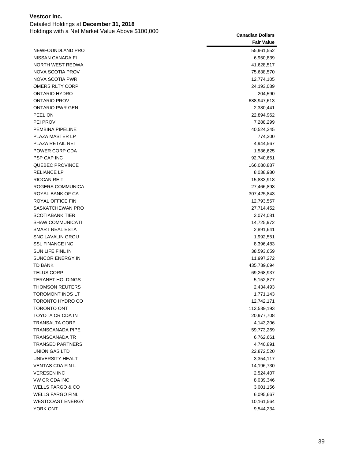| Holdings with a Net Market Value Above \$100,000 | <b>Canadian Dollars</b> |
|--------------------------------------------------|-------------------------|
|                                                  | <b>Fair Value</b>       |
| NEWFOUNDLAND PRO                                 | 55,961,552              |
| NISSAN CANADA FI                                 | 6,950,839               |
| NORTH WEST REDWA                                 | 41,628,517              |
| NOVA SCOTIA PROV                                 | 75,638,570              |
| NOVA SCOTIA PWR                                  | 12,774,105              |
| <b>OMERS RLTY CORP</b>                           | 24,193,089              |
| ONTARIO HYDRO                                    | 204,590                 |
| ONTARIO PROV                                     | 688,947,613             |
| <b>ONTARIO PWR GEN</b>                           | 2,380,441               |
| PEEL ON                                          | 22,894,962              |
| PEI PROV                                         | 7,288,299               |
| PEMBINA PIPELINE                                 | 40,524,345              |
| PLAZA MASTER LP                                  | 774,300                 |
| PLAZA RETAIL REI                                 | 4,944,567               |
| POWER CORP CDA                                   | 1,536,625               |
| PSP CAP INC                                      | 92,740,651              |
| QUEBEC PROVINCE                                  | 166,080,887             |
| <b>RELIANCE LP</b>                               | 8,038,980               |
| <b>RIOCAN REIT</b>                               | 15,833,918              |
| ROGERS COMMUNICA                                 | 27,466,898              |
| ROYAL BANK OF CA                                 | 307,425,843             |
| ROYAL OFFICE FIN                                 | 12,793,557              |
| SASKATCHEWAN PRO                                 | 27,714,452              |
| <b>SCOTIABANK TIER</b>                           | 3,074,081               |
| <b>SHAW COMMUNICATI</b>                          | 14,725,972              |
| SMART REAL ESTAT                                 | 2,891,641               |
| <b>SNC LAVALIN GROU</b>                          | 1,992,551               |
| <b>SSL FINANCE INC</b>                           | 8,396,483               |
| SUN LIFE FINL IN                                 | 38,593,659              |
| SUNCOR ENERGY IN                                 | 11,997,272              |
| TD BANK                                          | 435,789,694             |
| <b>TELUS CORP</b>                                | 69,268,937              |
| <b>TERANET HOLDINGS</b>                          | 5,152,877               |
| THOMSON REUTERS                                  | 2,434,493               |
| TOROMONT INDS LT                                 | 1,771,143               |
| TORONTO HYDRO CO                                 | 12,742,171              |
| TORONTO ONT                                      | 113,539,193             |
| TOYOTA CR CDA IN                                 | 20,977,708              |
| TRANSALTA CORP                                   | 4,143,206               |
| TRANSCANADA PIPE                                 | 59,773,269              |
| TRANSCANADA TR                                   | 6,762,661               |
| <b>TRANSED PARTNERS</b>                          | 4,740,891               |
| UNION GAS LTD                                    | 22,872,520              |
| UNIVERSITY HEALT                                 | 3,354,117               |
| VENTAS CDA FIN L                                 | 14,196,730              |
| <b>VERESEN INC</b>                               | 2,524,407               |
| VW CR CDA INC                                    | 8,039,346               |
| <b>WELLS FARGO &amp; CO</b>                      | 3,001,156               |
| <b>WELLS FARGO FINL</b>                          | 6,095,667               |
| <b>WESTCOAST ENERGY</b>                          | 10,161,564              |
| YORK ONT                                         | 9,544,234               |